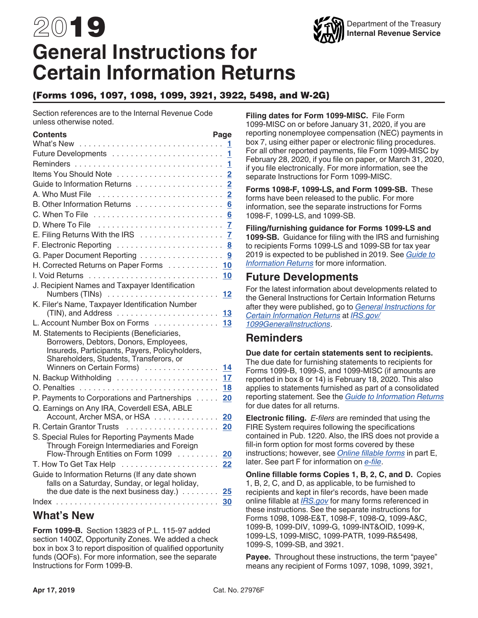# 2019 **General Instructions for Certain Information Returns**

### (Forms 1096, 1097, 1098, 1099, 3921, 3922, 5498, and W-2G)

Section references are to the Internal Revenue Code unless otherwise noted.

| Contents<br>What's New                                                                                                                                                                                              | Page<br>1      |
|---------------------------------------------------------------------------------------------------------------------------------------------------------------------------------------------------------------------|----------------|
|                                                                                                                                                                                                                     |                |
|                                                                                                                                                                                                                     | 1              |
| Items You Should Note                                                                                                                                                                                               | $\overline{2}$ |
|                                                                                                                                                                                                                     | $\overline{2}$ |
| A. Who Must File                                                                                                                                                                                                    | $\overline{2}$ |
|                                                                                                                                                                                                                     | $6\phantom{a}$ |
|                                                                                                                                                                                                                     | 6              |
| D. Where To File                                                                                                                                                                                                    | 7              |
| E. Filing Returns With the IRS                                                                                                                                                                                      | $\overline{7}$ |
|                                                                                                                                                                                                                     | 8              |
| G. Paper Document Reporting                                                                                                                                                                                         | 9              |
| H. Corrected Returns on Paper Forms 10                                                                                                                                                                              |                |
|                                                                                                                                                                                                                     | 10             |
| J. Recipient Names and Taxpayer Identification<br>Numbers (TINs)  12                                                                                                                                                |                |
| K. Filer's Name, Taxpayer Identification Number                                                                                                                                                                     |                |
| L. Account Number Box on Forms 13                                                                                                                                                                                   |                |
| M. Statements to Recipients (Beneficiaries,<br>Borrowers, Debtors, Donors, Employees,<br>Insureds, Participants, Payers, Policyholders,<br>Shareholders, Students, Transferors, or<br>Winners on Certain Forms)  14 |                |
|                                                                                                                                                                                                                     | 17             |
|                                                                                                                                                                                                                     | 18             |
| P. Payments to Corporations and Partnerships                                                                                                                                                                        | 20             |
| Q. Earnings on Any IRA, Coverdell ESA, ABLE<br>Account, Archer MSA, or HSA                                                                                                                                          | 20             |
|                                                                                                                                                                                                                     | 20             |
| S. Special Rules for Reporting Payments Made<br>Through Foreign Intermediaries and Foreign<br>Flow-Through Entities on Form 1099                                                                                    |                |
|                                                                                                                                                                                                                     | 20             |
| Guide to Information Returns (If any date shown                                                                                                                                                                     | 22             |
| falls on a Saturday, Sunday, or legal holiday,<br>the due date is the next business day.) $\ldots \ldots$                                                                                                           | 25             |
|                                                                                                                                                                                                                     | 30             |

### **What's New**

**Form 1099-B.** Section 13823 of P.L. 115-97 added section 1400Z, Opportunity Zones. We added a check box in box 3 to report disposition of qualified opportunity funds (QOFs). For more information, see the separate Instructions for Form 1099-B.

**Filing dates for Form 1099-MISC.** File Form 1099-MISC on or before January 31, 2020, if you are reporting nonemployee compensation (NEC) payments in box 7, using either paper or electronic filing procedures. For all other reported payments, file Form 1099-MISC by February 28, 2020, if you file on paper, or March 31, 2020, if you file electronically. For more information, see the separate Instructions for Form 1099-MISC.

**Forms 1098-F, 1099-LS, and Form 1099-SB.** These forms have been released to the public. For more information, see the separate instructions for Forms 1098-F, 1099-LS, and 1099-SB.

**Filing/furnishing guidance for Forms 1099-LS and 1099-SB.** Guidance for filing with the IRS and furnishing to recipients Forms 1099-LS and 1099-SB for tax year 2019 is expected to be published in 2019. See *[Guide to](#page-24-0)  [Information Returns](#page-24-0)* for more information.

### **Future Developments**

For the latest information about developments related to the General Instructions for Certain Information Returns after they were published, go to *[General Instructions for](https://www.irs.gov/uac/About-Form-1099)  [Certain Information Returns](https://www.irs.gov/uac/About-Form-1099)* at *[IRS.gov/](https://www.irs.gov/uac/About-Form-1099) [1099GeneralInstructions](https://www.irs.gov/uac/About-Form-1099)*.

# **Reminders**

**Due date for certain statements sent to recipients.**  The due date for furnishing statements to recipients for Forms 1099-B, 1099-S, and 1099-MISC (if amounts are reported in box 8 or 14) is February 18, 2020. This also applies to statements furnished as part of a consolidated reporting statement. See the *[Guide to Information Returns](#page-24-0)*  for due dates for all returns.

**Electronic filing.** *E-filers* are reminded that using the FIRE System requires following the specifications contained in Pub. 1220. Also, the IRS does not provide a fill-in form option for most forms covered by these instructions; however, see *[Online fillable forms](#page-6-0)* in part E, later. See part F for information on *[e-file](#page-7-0)*.

**Online fillable forms Copies 1, B, 2, C, and D.** Copies 1, B, 2, C, and D, as applicable, to be furnished to recipients and kept in filer's records, have been made online fillable at *[IRS.gov](https://www.irs.gov)* for many forms referenced in these instructions. See the separate instructions for Forms 1098, 1098-E&T, 1098-F, 1098-Q, 1099-A&C, 1099-B, 1099-DIV, 1099-G, 1099-INT&OID, 1099-K, 1099-LS, 1099-MISC, 1099-PATR, 1099-R&5498, 1099-S, 1099-SB, and 3921.

**Payee.** Throughout these instructions, the term "payee" means any recipient of Forms 1097, 1098, 1099, 3921,

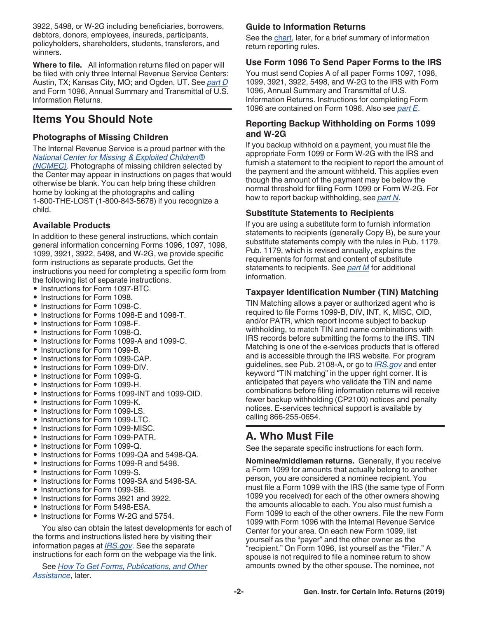<span id="page-1-0"></span>3922, 5498, or W-2G including beneficiaries, borrowers, debtors, donors, employees, insureds, participants, policyholders, shareholders, students, transferors, and winners.

**Where to file.** All information returns filed on paper will be filed with only three Internal Revenue Service Centers: Austin, TX; Kansas City, MO; and Ogden, UT. See *[part D](#page-6-0)*  and Form 1096, Annual Summary and Transmittal of U.S. Information Returns.

# **Items You Should Note**

### **Photographs of Missing Children**

The Internal Revenue Service is a proud partner with the *[National Center for Missing & Exploited Children®](http://www.missingkids.com/) [\(NCMEC\)](http://www.missingkids.com/)*. Photographs of missing children selected by the Center may appear in instructions on pages that would otherwise be blank. You can help bring these children home by looking at the photographs and calling 1-800-THE-LOST (1-800-843-5678) if you recognize a child.

### **Available Products**

In addition to these general instructions, which contain general information concerning Forms 1096, 1097, 1098, 1099, 3921, 3922, 5498, and W-2G, we provide specific form instructions as separate products. Get the instructions you need for completing a specific form from the following list of separate instructions.

- Instructions for Form 1097-BTC.
- Instructions for Form 1098.
- Instructions for Form 1098-C.
- Instructions for Forms 1098-E and 1098-T.
- Instructions for Form 1098-F.
- Instructions for Form 1098-Q.
- Instructions for Forms 1099-A and 1099-C.
- Instructions for Form 1099-B.
- Instructions for Form 1099-CAP.
- Instructions for Form 1099-DIV.
- Instructions for Form 1099-G.
- Instructions for Form 1099-H.
- Instructions for Forms 1099-INT and 1099-OID.
- Instructions for Form 1099-K.
- Instructions for Form 1099-LS.
- Instructions for Form 1099-LTC.
- Instructions for Form 1099-MISC.
- Instructions for Form 1099-PATR.
- Instructions for Form 1099-Q.
- Instructions for Forms 1099-QA and 5498-QA.
- Instructions for Forms 1099-R and 5498.
- Instructions for Form 1099-S.
- Instructions for Forms 1099-SA and 5498-SA.
- Instructions for Form 1099-SB.
- Instructions for Forms 3921 and 3922.
- Instructions for Form 5498-ESA.
- Instructions for Forms W-2G and 5754.

You also can obtain the latest developments for each of the forms and instructions listed here by visiting their information pages at *[IRS.gov](https://www.irs.gov)*. See the separate instructions for each form on the webpage via the link.

See *[How To Get Forms, Publications, and Other](#page-22-0)  [Assistance](#page-22-0)*, later.

### **Guide to Information Returns**

See the [chart,](#page-24-0) later, for a brief summary of information return reporting rules.

### **Use Form 1096 To Send Paper Forms to the IRS**

You must send Copies A of all paper Forms 1097, 1098, 1099, 3921, 3922, 5498, and W-2G to the IRS with Form 1096, Annual Summary and Transmittal of U.S. Information Returns. Instructions for completing Form 1096 are contained on Form 1096. Also see *[part E](#page-6-0)*.

#### **Reporting Backup Withholding on Forms 1099 and W-2G**

If you backup withhold on a payment, you must file the appropriate Form 1099 or Form W-2G with the IRS and furnish a statement to the recipient to report the amount of the payment and the amount withheld. This applies even though the amount of the payment may be below the normal threshold for filing Form 1099 or Form W-2G. For how to report backup withholding, see *[part N](#page-16-0)*.

### **Substitute Statements to Recipients**

If you are using a substitute form to furnish information statements to recipients (generally Copy B), be sure your substitute statements comply with the rules in Pub. 1179. Pub. 1179, which is revised annually, explains the requirements for format and content of substitute statements to recipients. See *[part M](#page-13-0)* for additional information.

### **Taxpayer Identification Number (TIN) Matching**

TIN Matching allows a payer or authorized agent who is required to file Forms 1099-B, DIV, INT, K, MISC, OID, and/or PATR, which report income subject to backup withholding, to match TIN and name combinations with IRS records before submitting the forms to the IRS. TIN Matching is one of the e-services products that is offered and is accessible through the IRS website. For program guidelines, see Pub. 2108-A, or go to *[IRS.gov](https://www.irs.gov)* and enter keyword "TIN matching" in the upper right corner. It is anticipated that payers who validate the TIN and name combinations before filing information returns will receive fewer backup withholding (CP2100) notices and penalty notices. E-services technical support is available by calling 866-255-0654.

# **A. Who Must File**

See the separate specific instructions for each form.

**Nominee/middleman returns.** Generally, if you receive a Form 1099 for amounts that actually belong to another person, you are considered a nominee recipient. You must file a Form 1099 with the IRS (the same type of Form 1099 you received) for each of the other owners showing the amounts allocable to each. You also must furnish a Form 1099 to each of the other owners. File the new Form 1099 with Form 1096 with the Internal Revenue Service Center for your area. On each new Form 1099, list yourself as the "payer" and the other owner as the "recipient." On Form 1096, list yourself as the "Filer." A spouse is not required to file a nominee return to show amounts owned by the other spouse. The nominee, not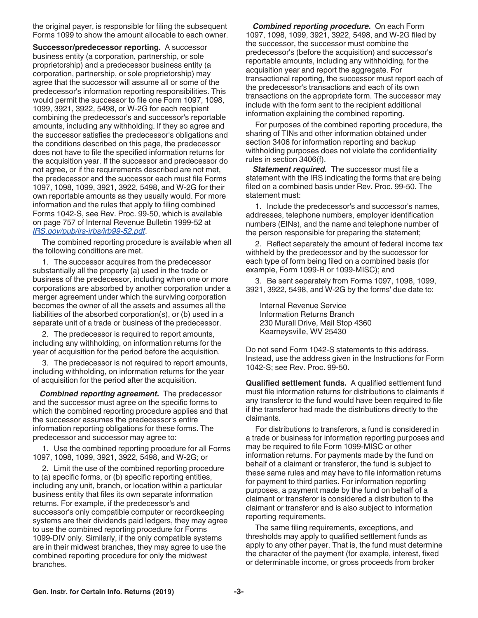<span id="page-2-0"></span>the original payer, is responsible for filing the subsequent Forms 1099 to show the amount allocable to each owner.

**Successor/predecessor reporting.** A successor business entity (a corporation, partnership, or sole proprietorship) and a predecessor business entity (a corporation, partnership, or sole proprietorship) may agree that the successor will assume all or some of the predecessor's information reporting responsibilities. This would permit the successor to file one Form 1097, 1098, 1099, 3921, 3922, 5498, or W-2G for each recipient combining the predecessor's and successor's reportable amounts, including any withholding. If they so agree and the successor satisfies the predecessor's obligations and the conditions described on this page, the predecessor does not have to file the specified information returns for the acquisition year. If the successor and predecessor do not agree, or if the requirements described are not met, the predecessor and the successor each must file Forms 1097, 1098, 1099, 3921, 3922, 5498, and W-2G for their own reportable amounts as they usually would. For more information and the rules that apply to filing combined Forms 1042-S, see Rev. Proc. 99-50, which is available on page 757 of Internal Revenue Bulletin 1999-52 at *[IRS.gov/pub/irs-irbs/irb99-52.pdf](https://www.irs.gov/pub/irs-irbs/irb99-52.pdf)*.

The combined reporting procedure is available when all the following conditions are met.

1. The successor acquires from the predecessor substantially all the property (a) used in the trade or business of the predecessor, including when one or more corporations are absorbed by another corporation under a merger agreement under which the surviving corporation becomes the owner of all the assets and assumes all the liabilities of the absorbed corporation(s), or (b) used in a separate unit of a trade or business of the predecessor.

2. The predecessor is required to report amounts, including any withholding, on information returns for the year of acquisition for the period before the acquisition.

3. The predecessor is not required to report amounts, including withholding, on information returns for the year of acquisition for the period after the acquisition.

*Combined reporting agreement.* The predecessor and the successor must agree on the specific forms to which the combined reporting procedure applies and that the successor assumes the predecessor's entire information reporting obligations for these forms. The predecessor and successor may agree to:

1. Use the combined reporting procedure for all Forms 1097, 1098, 1099, 3921, 3922, 5498, and W-2G; or

2. Limit the use of the combined reporting procedure to (a) specific forms, or (b) specific reporting entities, including any unit, branch, or location within a particular business entity that files its own separate information returns. For example, if the predecessor's and successor's only compatible computer or recordkeeping systems are their dividends paid ledgers, they may agree to use the combined reporting procedure for Forms 1099-DIV only. Similarly, if the only compatible systems are in their midwest branches, they may agree to use the combined reporting procedure for only the midwest branches.

*Combined reporting procedure.* On each Form 1097, 1098, 1099, 3921, 3922, 5498, and W-2G filed by the successor, the successor must combine the predecessor's (before the acquisition) and successor's reportable amounts, including any withholding, for the acquisition year and report the aggregate. For transactional reporting, the successor must report each of the predecessor's transactions and each of its own transactions on the appropriate form. The successor may include with the form sent to the recipient additional information explaining the combined reporting.

For purposes of the combined reporting procedure, the sharing of TINs and other information obtained under section 3406 for information reporting and backup withholding purposes does not violate the confidentiality rules in section 3406(f).

*Statement required.* The successor must file a statement with the IRS indicating the forms that are being filed on a combined basis under Rev. Proc. 99-50. The statement must:

1. Include the predecessor's and successor's names, addresses, telephone numbers, employer identification numbers (EINs), and the name and telephone number of the person responsible for preparing the statement;

2. Reflect separately the amount of federal income tax withheld by the predecessor and by the successor for each type of form being filed on a combined basis (for example, Form 1099-R or 1099-MISC); and

3. Be sent separately from Forms 1097, 1098, 1099, 3921, 3922, 5498, and W-2G by the forms' due date to:

Internal Revenue Service Information Returns Branch 230 Murall Drive, Mail Stop 4360 Kearneysville, WV 25430

Do not send Form 1042-S statements to this address. Instead, use the address given in the Instructions for Form 1042-S; see Rev. Proc. 99-50.

**Qualified settlement funds.** A qualified settlement fund must file information returns for distributions to claimants if any transferor to the fund would have been required to file if the transferor had made the distributions directly to the claimants.

For distributions to transferors, a fund is considered in a trade or business for information reporting purposes and may be required to file Form 1099-MISC or other information returns. For payments made by the fund on behalf of a claimant or transferor, the fund is subject to these same rules and may have to file information returns for payment to third parties. For information reporting purposes, a payment made by the fund on behalf of a claimant or transferor is considered a distribution to the claimant or transferor and is also subject to information reporting requirements.

The same filing requirements, exceptions, and thresholds may apply to qualified settlement funds as apply to any other payer. That is, the fund must determine the character of the payment (for example, interest, fixed or determinable income, or gross proceeds from broker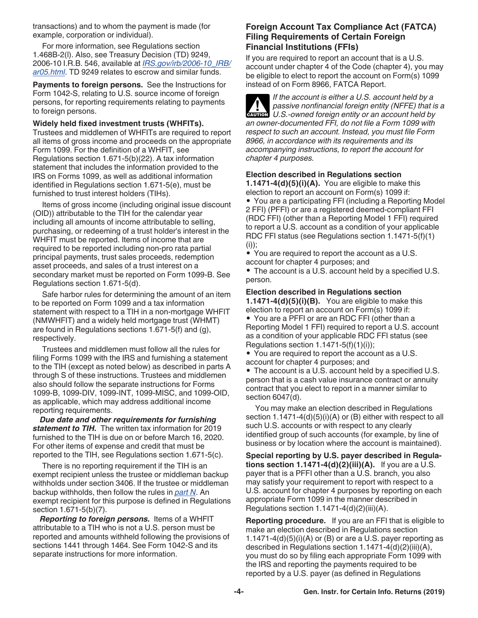<span id="page-3-0"></span>transactions) and to whom the payment is made (for example, corporation or individual).

For more information, see Regulations section 1.468B-2(l). Also, see Treasury Decision (TD) 9249, 2006-10 I.R.B. 546, available at *[IRS.gov/irb/2006-10\\_IRB/](https://www.irs.gov/irb/2006-10_IRB/ar05.html) [ar05.html](https://www.irs.gov/irb/2006-10_IRB/ar05.html)*. TD 9249 relates to escrow and similar funds.

**Payments to foreign persons.** See the Instructions for Form 1042-S, relating to U.S. source income of foreign persons, for reporting requirements relating to payments to foreign persons.

#### **Widely held fixed investment trusts (WHFITs).**

Trustees and middlemen of WHFITs are required to report all items of gross income and proceeds on the appropriate Form 1099. For the definition of a WHFIT, see Regulations section 1.671-5(b)(22). A tax information statement that includes the information provided to the IRS on Forms 1099, as well as additional information identified in Regulations section 1.671-5(e), must be furnished to trust interest holders (TIHs).

Items of gross income (including original issue discount (OID)) attributable to the TIH for the calendar year including all amounts of income attributable to selling, purchasing, or redeeming of a trust holder's interest in the WHFIT must be reported. Items of income that are required to be reported including non-pro rata partial principal payments, trust sales proceeds, redemption asset proceeds, and sales of a trust interest on a secondary market must be reported on Form 1099-B. See Regulations section 1.671-5(d).

Safe harbor rules for determining the amount of an item to be reported on Form 1099 and a tax information statement with respect to a TIH in a non-mortgage WHFIT (NMWHFIT) and a widely held mortgage trust (WHMT) are found in Regulations sections 1.671-5(f) and (g), respectively.

Trustees and middlemen must follow all the rules for filing Forms 1099 with the IRS and furnishing a statement to the TIH (except as noted below) as described in parts A through S of these instructions. Trustees and middlemen also should follow the separate instructions for Forms 1099-B, 1099-DIV, 1099-INT, 1099-MISC, and 1099-OID, as applicable, which may address additional income reporting requirements.

*Due date and other requirements for furnishing statement to TIH.* The written tax information for 2019 furnished to the TIH is due on or before March 16, 2020. For other items of expense and credit that must be reported to the TIH, see Regulations section 1.671-5(c).

There is no reporting requirement if the TIH is an exempt recipient unless the trustee or middleman backup withholds under section 3406. If the trustee or middleman backup withholds, then follow the rules in *[part N](#page-16-0)*. An exempt recipient for this purpose is defined in Regulations section 1.671-5(b)(7).

*Reporting to foreign persons.* Items of a WHFIT attributable to a TIH who is not a U.S. person must be reported and amounts withheld following the provisions of sections 1441 through 1464. See Form 1042-S and its separate instructions for more information.

### **Foreign Account Tax Compliance Act (FATCA) Filing Requirements of Certain Foreign Financial Institutions (FFIs)**

If you are required to report an account that is a U.S. account under chapter 4 of the Code (chapter 4), you may be eligible to elect to report the account on Form(s) 1099 instead of on Form 8966, FATCA Report.

*If the account is either a U.S. account held by a passive nonfinancial foreign entity (NFFE) that is a*  **P** passive nonfinancial foreign entity (NFFE) that is **caution** U.S.-owned foreign entity or an account held by *an owner-documented FFI, do not file a Form 1099 with respect to such an account. Instead, you must file Form 8966, in accordance with its requirements and its accompanying instructions, to report the account for chapter 4 purposes.*

### **Election described in Regulations section**

**1.1471-4(d)(5)(i)(A).** You are eligible to make this election to report an account on Form(s) 1099 if:

• You are a participating FFI (including a Reporting Model 2 FFI) (PFFI) or are a registered deemed-compliant FFI (RDC FFI) (other than a Reporting Model 1 FFI) required to report a U.S. account as a condition of your applicable RDC FFI status (see Regulations section 1.1471-5(f)(1)  $(i))$ ;

• You are required to report the account as a U.S. account for chapter 4 purposes; and • The account is a U.S. account held by a specified U.S. person.

#### **Election described in Regulations section**

**1.1471-4(d)(5)(i)(B).** You are eligible to make this election to report an account on Form(s) 1099 if: • You are a PFFI or are an RDC FFI (other than a Reporting Model 1 FFI) required to report a U.S. account as a condition of your applicable RDC FFI status (see Regulations section  $1.1471-5(f)(1)(i)$ ;

• You are required to report the account as a U.S. account for chapter 4 purposes; and

• The account is a U.S. account held by a specified U.S. person that is a cash value insurance contract or annuity contract that you elect to report in a manner similar to section 6047(d).

You may make an election described in Regulations section 1.1471-4(d)(5)(i)(A) or (B) either with respect to all such U.S. accounts or with respect to any clearly identified group of such accounts (for example, by line of business or by location where the account is maintained).

**Special reporting by U.S. payer described in Regulations section 1.1471-4(d)(2)(iii)(A).** If you are a U.S. payer that is a PFFI other than a U.S. branch, you also may satisfy your requirement to report with respect to a U.S. account for chapter 4 purposes by reporting on each appropriate Form 1099 in the manner described in Regulations section  $1.1471-4(d)(2)(iii)(A)$ .

**Reporting procedure.** If you are an FFI that is eligible to make an election described in Regulations section 1.1471-4 $(d)(5)(i)(A)$  or  $(B)$  or are a U.S. payer reporting as described in Regulations section 1.1471-4(d)(2)(iii)(A), you must do so by filing each appropriate Form 1099 with the IRS and reporting the payments required to be reported by a U.S. payer (as defined in Regulations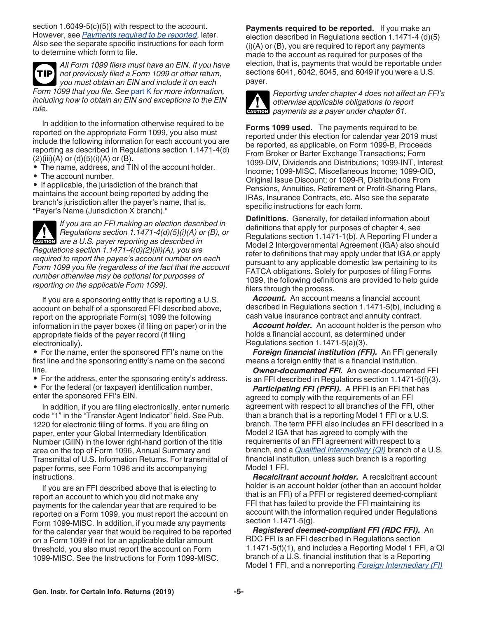section 1.6049-5(c)(5)) with respect to the account. However, see *Payments required to be reported*, later. Also see the separate specific instructions for each form to determine which form to file.

*All Form 1099 filers must have an EIN. If you have not previously filed a Form 1099 or other return, you must obtain an EIN and include it on each Form 1099 that you file. See* [part K](#page-12-0) *for more information, including how to obtain an EIN and exceptions to the EIN rule.* **TIP**

In addition to the information otherwise required to be reported on the appropriate Form 1099, you also must include the following information for each account you are reporting as described in Regulations section 1.1471-4(d)  $(2)(iii)(A)$  or  $(d)(5)(i)(A)$  or  $(B)$ .

- The name, address, and TIN of the account holder.
- The account number.

• If applicable, the jurisdiction of the branch that maintains the account being reported by adding the branch's jurisdiction after the payer's name, that is, "Payer's Name (Jurisdiction X branch)."

*If you are an FFI making an election described in Regulations section 1.1471-4(d)(5)(i)(A) or (B), or*  **Regulations section 1.1471-4(d)(5)(i)(A) of a union are a U.S. payer reporting as described in** *Regulations section 1.1471-4(d)(2)(iii)(A), you are required to report the payee's account number on each Form 1099 you file (regardless of the fact that the account number otherwise may be optional for purposes of reporting on the applicable Form 1099).*

If you are a sponsoring entity that is reporting a U.S. account on behalf of a sponsored FFI described above, report on the appropriate Form(s) 1099 the following information in the payer boxes (if filing on paper) or in the appropriate fields of the payer record (if filing electronically).

• For the name, enter the sponsored FFI's name on the first line and the sponsoring entity's name on the second line.

• For the address, enter the sponsoring entity's address. • For the federal (or taxpayer) identification number, enter the sponsored FFI's EIN.

In addition, if you are filing electronically, enter numeric code "1" in the "Transfer Agent Indicator" field. See Pub. 1220 for electronic filing of forms. If you are filing on paper, enter your Global Intermediary Identification Number (GIIN) in the lower right-hand portion of the title area on the top of Form 1096, Annual Summary and Transmittal of U.S. Information Returns. For transmittal of paper forms, see Form 1096 and its accompanying instructions.

If you are an FFI described above that is electing to report an account to which you did not make any payments for the calendar year that are required to be reported on a Form 1099, you must report the account on Form 1099-MISC. In addition, if you made any payments for the calendar year that would be required to be reported on a Form 1099 if not for an applicable dollar amount threshold, you also must report the account on Form 1099-MISC. See the Instructions for Form 1099-MISC.

**Payments required to be reported.** If you make an election described in Regulations section 1.1471-4 (d)(5)  $(i)(A)$  or  $(B)$ , you are required to report any payments made to the account as required for purposes of the election, that is, payments that would be reportable under sections 6041, 6042, 6045, and 6049 if you were a U.S. payer.



*Reporting under chapter 4 does not affect an FFI's otherwise applicable obligations to report*  otherwise applicable obligations to reposition of the payments as a payer under chapter 61.

**Forms 1099 used.** The payments required to be reported under this election for calendar year 2019 must be reported, as applicable, on Form 1099-B, Proceeds From Broker or Barter Exchange Transactions; Form 1099-DIV, Dividends and Distributions; 1099-INT, Interest Income; 1099-MISC, Miscellaneous Income; 1099-OID, Original Issue Discount; or 1099-R, Distributions From Pensions, Annuities, Retirement or Profit-Sharing Plans, IRAs, Insurance Contracts, etc. Also see the separate specific instructions for each form.

**Definitions.** Generally, for detailed information about definitions that apply for purposes of chapter 4, see Regulations section 1.1471-1(b). A Reporting FI under a Model 2 Intergovernmental Agreement (IGA) also should refer to definitions that may apply under that IGA or apply pursuant to any applicable domestic law pertaining to its FATCA obligations. Solely for purposes of filing Forms 1099, the following definitions are provided to help guide filers through the process.

*Account.* An account means a financial account described in Regulations section 1.1471-5(b), including a cash value insurance contract and annuity contract.

*Account holder.* An account holder is the person who holds a financial account, as determined under Regulations section 1.1471-5(a)(3).

*Foreign financial institution (FFI).* An FFI generally means a foreign entity that is a financial institution.

*Owner-documented FFI.* An owner-documented FFI is an FFI described in Regulations section 1.1471-5(f)(3).

*Participating FFI (PFFI).* A PFFI is an FFI that has agreed to comply with the requirements of an FFI agreement with respect to all branches of the FFI, other than a branch that is a reporting Model 1 FFI or a U.S. branch. The term PFFI also includes an FFI described in a Model 2 IGA that has agreed to comply with the requirements of an FFI agreement with respect to a branch, and a *[Qualified Intermediary \(QI\)](#page-19-0)* branch of a U.S. financial institution, unless such branch is a reporting Model 1 FFI.

*Recalcitrant account holder.* A recalcitrant account holder is an account holder (other than an account holder that is an FFI) of a PFFI or registered deemed-compliant FFI that has failed to provide the FFI maintaining its account with the information required under Regulations section 1.1471-5(g).

*Registered deemed-compliant FFI (RDC FFI).* An RDC FFI is an FFI described in Regulations section 1.1471-5(f)(1), and includes a Reporting Model 1 FFI, a QI branch of a U.S. financial institution that is a Reporting Model 1 FFI, and a nonreporting *[Foreign Intermediary \(FI\)](#page-19-0)*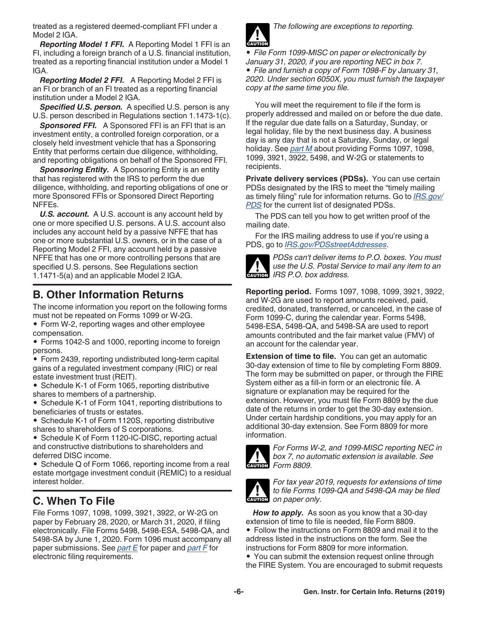<span id="page-5-0"></span>treated as a registered deemed-compliant FFI under a Model 2 IGA.

*Reporting Model 1 FFI.* A Reporting Model 1 FFI is an FI, including a foreign branch of a U.S. financial institution, treated as a reporting financial institution under a Model 1 IGA.

*Reporting Model 2 FFI.* A Reporting Model 2 FFI is an FI or branch of an FI treated as a reporting financial institution under a Model 2 IGA.

*Specified U.S. person.* A specified U.S. person is any U.S. person described in Regulations section 1.1473-1(c).

*Sponsored FFI.* A Sponsored FFI is an FFI that is an investment entity, a controlled foreign corporation, or a closely held investment vehicle that has a Sponsoring Entity that performs certain due diligence, withholding, and reporting obligations on behalf of the Sponsored FFI.

**Sponsoring Entity.** A Sponsoring Entity is an entity that has registered with the IRS to perform the due diligence, withholding, and reporting obligations of one or more Sponsored FFIs or Sponsored Direct Reporting NFFEs.

*U.S. account.* A U.S. account is any account held by one or more specified U.S. persons. A U.S. account also includes any account held by a passive NFFE that has one or more substantial U.S. owners, or in the case of a Reporting Model 2 FFI, any account held by a passive NFFE that has one or more controlling persons that are specified U.S. persons. See Regulations section 1.1471-5(a) and an applicable Model 2 IGA.

# **B. Other Information Returns**

The income information you report on the following forms must not be repeated on Forms 1099 or W-2G.

• Form W-2, reporting wages and other employee compensation.

• Forms 1042-S and 1000, reporting income to foreign persons.

• Form 2439, reporting undistributed long-term capital gains of a regulated investment company (RIC) or real estate investment trust (REIT).

• Schedule K-1 of Form 1065, reporting distributive shares to members of a partnership.

• Schedule K-1 of Form 1041, reporting distributions to beneficiaries of trusts or estates.

• Schedule K-1 of Form 1120S, reporting distributive shares to shareholders of S corporations.

• Schedule K of Form 1120-IC-DISC, reporting actual and constructive distributions to shareholders and deferred DISC income.

• Schedule Q of Form 1066, reporting income from a real estate mortgage investment conduit (REMIC) to a residual interest holder.

# **C. When To File**

File Forms 1097, 1098, 1099, 3921, 3922, or W-2G on paper by February 28, 2020, or March 31, 2020, if filing electronically. File Forms 5498, 5498-ESA, 5498-QA, and 5498-SA by June 1, 2020. Form 1096 must accompany all paper submissions. See *[part E](#page-6-0)* for paper and *[part F](#page-7-0)* for electronic filing requirements.



*The following are exceptions to reporting.*

*• File Form 1099-MISC on paper or electronically by January 31, 2020, if you are reporting NEC in box 7. • File and furnish a copy of Form 1098-F by January 31, 2020. Under section 6050X, you must furnish the taxpayer copy at the same time you file.*

You will meet the requirement to file if the form is properly addressed and mailed on or before the due date. If the regular due date falls on a Saturday, Sunday, or legal holiday, file by the next business day. A business day is any day that is not a Saturday, Sunday, or legal holiday. See *[part M](#page-13-0)* about providing Forms 1097, 1098, 1099, 3921, 3922, 5498, and W-2G or statements to recipients.

**Private delivery services (PDSs).** You can use certain PDSs designated by the IRS to meet the "timely mailing as timely filing" rule for information returns. Go to *[IRS.gov/](https://www.irs.gov/PDS)* **[PDS](https://www.irs.gov/PDS)** for the current list of designated PDSs.

The PDS can tell you how to get written proof of the mailing date.

For the IRS mailing address to use if you're using a PDS, go to *[IRS.gov/PDSstreetAddresses](https://www.irs.gov/PDSstreetAddresses)*.



*PDSs can't deliver items to P.O. boxes. You must use the U.S. Postal Service to mail any item to an*  **IRS P.O.** box address.

**Reporting period.** Forms 1097, 1098, 1099, 3921, 3922, and W-2G are used to report amounts received, paid, credited, donated, transferred, or canceled, in the case of Form 1099-C, during the calendar year. Forms 5498, 5498-ESA, 5498-QA, and 5498-SA are used to report amounts contributed and the fair market value (FMV) of an account for the calendar year.

**Extension of time to file.** You can get an automatic 30-day extension of time to file by completing Form 8809. The form may be submitted on paper, or through the FIRE System either as a fill-in form or an electronic file. A signature or explanation may be required for the extension. However, you must file Form 8809 by the due date of the returns in order to get the 30-day extension. Under certain hardship conditions, you may apply for an additional 30-day extension. See Form 8809 for more information.



*For Forms W-2, and 1099-MISC reporting NEC in box 7, no automatic extension is available. See Form 8809.*



*For tax year 2019, requests for extensions of time to file Forms 1099-QA and 5498-QA may be filed*  **caution** *on paper only.* 

*How to apply.* As soon as you know that a 30-day extension of time to file is needed, file Form 8809. • Follow the instructions on Form 8809 and mail it to the address listed in the instructions on the form. See the instructions for Form 8809 for more information. • You can submit the extension request online through

the FIRE System. You are encouraged to submit requests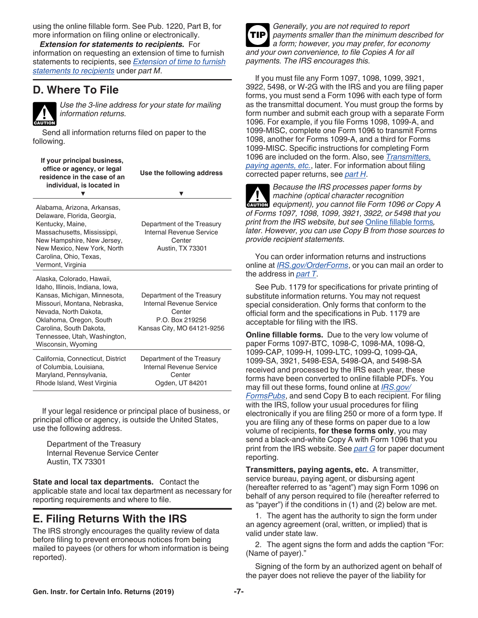<span id="page-6-0"></span>using the online fillable form. See Pub. 1220, Part B, for more information on filing online or electronically.

*Extension for statements to recipients.* For information on requesting an extension of time to furnish statements to recipients, see *[Extension of time to furnish](#page-15-0) [statements to recipients](#page-15-0)* under *part M*.

### **D. Where To File**



*Use the 3-line address for your state for mailing information returns.*

Send all information returns filed on paper to the following.

| If your principal business,<br>office or agency, or legal<br>residence in the case of an<br>individual, is located in                                                                                                                                             | Use the following address<br>v                                                                                    |
|-------------------------------------------------------------------------------------------------------------------------------------------------------------------------------------------------------------------------------------------------------------------|-------------------------------------------------------------------------------------------------------------------|
| Alabama, Arizona, Arkansas,<br>Delaware, Florida, Georgia,<br>Kentucky, Maine,<br>Massachusetts, Mississippi,<br>New Hampshire, New Jersey,<br>New Mexico, New York, North<br>Carolina, Ohio, Texas,<br>Vermont, Virginia                                         | Department of the Treasury<br><b>Internal Revenue Service</b><br>Center<br><b>Austin, TX 73301</b>                |
| Alaska, Colorado, Hawaii,<br>Idaho, Illinois, Indiana, Iowa,<br>Kansas, Michigan, Minnesota,<br>Missouri, Montana, Nebraska,<br>Nevada, North Dakota,<br>Oklahoma, Oregon, South<br>Carolina, South Dakota,<br>Tennessee, Utah, Washington,<br>Wisconsin, Wyoming | Department of the Treasury<br>Internal Revenue Service<br>Center<br>P.O. Box 219256<br>Kansas City, MO 64121-9256 |
| California, Connecticut, District<br>of Columbia, Louisiana,<br>Maryland, Pennsylvania,<br>Rhode Island, West Virginia                                                                                                                                            | Department of the Treasury<br>Internal Revenue Service<br>Center<br>Ogden, UT 84201                               |

If your legal residence or principal place of business, or principal office or agency, is outside the United States, use the following address.

Department of the Treasury Internal Revenue Service Center Austin, TX 73301

**State and local tax departments.** Contact the applicable state and local tax department as necessary for reporting requirements and where to file.

# **E. Filing Returns With the IRS**

The IRS strongly encourages the quality review of data before filing to prevent erroneous notices from being mailed to payees (or others for whom information is being reported).



*Generally, you are not required to report payments smaller than the minimum described for a form; however, you may prefer, for economy and your own convenience, to file Copies A for all payments. The IRS encourages this.*

If you must file any Form 1097, 1098, 1099, 3921, 3922, 5498, or W-2G with the IRS and you are filing paper forms, you must send a Form 1096 with each type of form as the transmittal document. You must group the forms by form number and submit each group with a separate Form 1096. For example, if you file Forms 1098, 1099-A, and 1099-MISC, complete one Form 1096 to transmit Forms 1098, another for Forms 1099-A, and a third for Forms 1099-MISC. Specific instructions for completing Form 1096 are included on the form. Also, see *Transmitters, paying agents, etc.*, later. For information about filing corrected paper returns, see *[part H](#page-9-0)*.

*Because the IRS processes paper forms by machine (optical character recognition equipment), you cannot file Form 1096 or Copy A of Forms 1097, 1098, 1099, 3921, 3922, or 5498 that you print from the IRS website, but see* Online fillable forms*, later. However, you can use Copy B from those sources to provide recipient statements.*

You can order information returns and instructions online at *[IRS.gov/OrderForms](https://www.irs.gov/orderforms)*, or you can mail an order to the address in *[part T](#page-21-0)*.

See Pub. 1179 for specifications for private printing of substitute information returns. You may not request special consideration. Only forms that conform to the official form and the specifications in Pub. 1179 are acceptable for filing with the IRS.

**Online fillable forms.** Due to the very low volume of paper Forms 1097-BTC, 1098-C, 1098-MA, 1098-Q, 1099-CAP, 1099-H, 1099-LTC, 1099-Q, 1099-QA, 1099-SA, 3921, 5498-ESA, 5498-QA, and 5498-SA received and processed by the IRS each year, these forms have been converted to online fillable PDFs. You may fill out these forms, found online at *[IRS.gov/](https://www.irs.gov/formspubs) [FormsPubs](https://www.irs.gov/formspubs)*, and send Copy B to each recipient. For filing with the IRS, follow your usual procedures for filing electronically if you are filing 250 or more of a form type. If you are filing any of these forms on paper due to a low volume of recipients, **for these forms only**, you may send a black-and-white Copy A with Form 1096 that you print from the IRS website. See *[part G](#page-8-0)* for paper document reporting.

**Transmitters, paying agents, etc.** A transmitter, service bureau, paying agent, or disbursing agent (hereafter referred to as "agent") may sign Form 1096 on behalf of any person required to file (hereafter referred to as "payer") if the conditions in (1) and (2) below are met.

1. The agent has the authority to sign the form under an agency agreement (oral, written, or implied) that is valid under state law.

2. The agent signs the form and adds the caption "For: (Name of payer)."

Signing of the form by an authorized agent on behalf of the payer does not relieve the payer of the liability for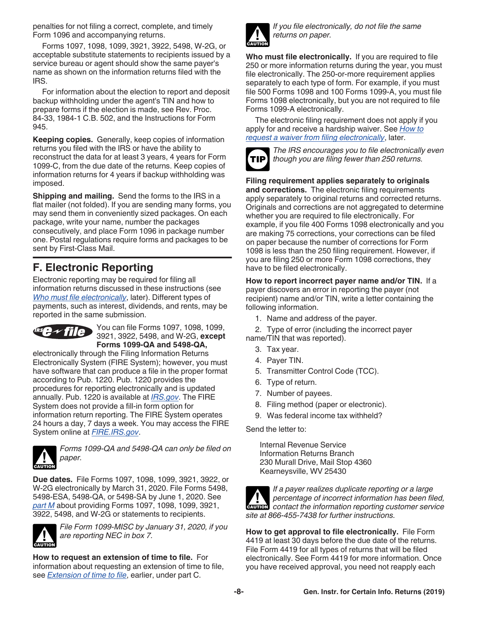<span id="page-7-0"></span>penalties for not filing a correct, complete, and timely Form 1096 and accompanying returns.

Forms 1097, 1098, 1099, 3921, 3922, 5498, W-2G, or acceptable substitute statements to recipients issued by a service bureau or agent should show the same payer's name as shown on the information returns filed with the IRS.

For information about the election to report and deposit backup withholding under the agent's TIN and how to prepare forms if the election is made, see Rev. Proc. 84-33, 1984-1 C.B. 502, and the Instructions for Form 945.

**Keeping copies.** Generally, keep copies of information returns you filed with the IRS or have the ability to reconstruct the data for at least 3 years, 4 years for Form 1099-C, from the due date of the returns. Keep copies of information returns for 4 years if backup withholding was imposed.

**Shipping and mailing.** Send the forms to the IRS in a flat mailer (not folded). If you are sending many forms, you may send them in conveniently sized packages. On each package, write your name, number the packages consecutively, and place Form 1096 in package number one. Postal regulations require forms and packages to be sent by First-Class Mail.

# **F. Electronic Reporting**

Electronic reporting may be required for filing all information returns discussed in these instructions (see *Who must file electronically*, later). Different types of payments, such as interest, dividends, and rents, may be reported in the same submission.



You can file Forms 1097, 1098, 1099, 3921, 3922, 5498, and W-2G, **except Forms 1099-QA and 5498-QA,** 

electronically through the Filing Information Returns Electronically System (FIRE System); however, you must have software that can produce a file in the proper format according to Pub. 1220. Pub. 1220 provides the procedures for reporting electronically and is updated annually. Pub. 1220 is available at *[IRS.gov](https://www.irs.gov)*. The FIRE System does not provide a fill-in form option for information return reporting. The FIRE System operates 24 hours a day, 7 days a week. You may access the FIRE System online at *[FIRE.IRS.gov](https://fire.irs.gov/)*.



*Forms 1099-QA and 5498-QA can only be filed on paper.*

**Due dates.** File Forms 1097, 1098, 1099, 3921, 3922, or W-2G electronically by March 31, 2020. File Forms 5498, 5498-ESA, 5498-QA, or 5498-SA by June 1, 2020. See *[part M](#page-13-0)* about providing Forms 1097, 1098, 1099, 3921, 3922, 5498, and W-2G or statements to recipients.



*File Form 1099-MISC by January 31, 2020, if you are reporting NEC in box 7.*

**How to request an extension of time to file.** For information about requesting an extension of time to file, see *[Extension of time to file](#page-5-0)*, earlier, under part C.



*If you file electronically, do not file the same returns on paper.*

**Who must file electronically.** If you are required to file 250 or more information returns during the year, you must file electronically. The 250-or-more requirement applies separately to each type of form. For example, if you must file 500 Forms 1098 and 100 Forms 1099-A, you must file Forms 1098 electronically, but you are not required to file Forms 1099-A electronically.

The electronic filing requirement does not apply if you apply for and receive a hardship waiver. See *[How to](#page-8-0)  [request a waiver from filing electronically](#page-8-0)*, later.



*The IRS encourages you to file electronically even though you are filing fewer than 250 returns.*

**Filing requirement applies separately to originals and corrections.** The electronic filing requirements apply separately to original returns and corrected returns. Originals and corrections are not aggregated to determine whether you are required to file electronically. For example, if you file 400 Forms 1098 electronically and you are making 75 corrections, your corrections can be filed on paper because the number of corrections for Form 1098 is less than the 250 filing requirement. However, if you are filing 250 or more Form 1098 corrections, they have to be filed electronically.

**How to report incorrect payer name and/or TIN.** If a payer discovers an error in reporting the payer (not recipient) name and/or TIN, write a letter containing the following information.

1. Name and address of the payer.

2. Type of error (including the incorrect payer name/TIN that was reported).

- 3. Tax year.
- 4. Payer TIN.
- 5. Transmitter Control Code (TCC).
- 6. Type of return.
- 7. Number of payees.
- 8. Filing method (paper or electronic).
- 9. Was federal income tax withheld?

Send the letter to:

Internal Revenue Service Information Returns Branch 230 Murall Drive, Mail Stop 4360 Kearneysville, WV 25430



*If a payer realizes duplicate reporting or a large percentage of incorrect information has been filed,*  **Percentage of incorrect information has been filed, contact the information reporting customer service** *site at 866-455-7438 for further instructions.*

**How to get approval to file electronically.** File Form 4419 at least 30 days before the due date of the returns. File Form 4419 for all types of returns that will be filed electronically. See Form 4419 for more information. Once you have received approval, you need not reapply each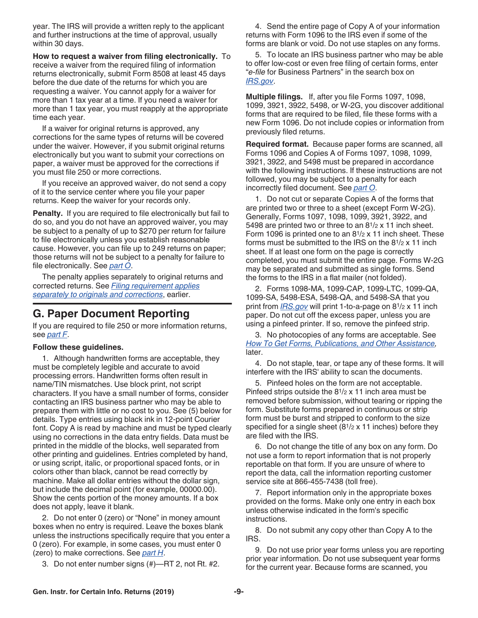<span id="page-8-0"></span>year. The IRS will provide a written reply to the applicant and further instructions at the time of approval, usually within 30 days.

**How to request a waiver from filing electronically.** To receive a waiver from the required filing of information returns electronically, submit Form 8508 at least 45 days before the due date of the returns for which you are requesting a waiver. You cannot apply for a waiver for more than 1 tax year at a time. If you need a waiver for more than 1 tax year, you must reapply at the appropriate time each year.

If a waiver for original returns is approved, any corrections for the same types of returns will be covered under the waiver. However, if you submit original returns electronically but you want to submit your corrections on paper, a waiver must be approved for the corrections if you must file 250 or more corrections.

If you receive an approved waiver, do not send a copy of it to the service center where you file your paper returns. Keep the waiver for your records only.

**Penalty.** If you are required to file electronically but fail to do so, and you do not have an approved waiver, you may be subject to a penalty of up to \$270 per return for failure to file electronically unless you establish reasonable cause. However, you can file up to 249 returns on paper; those returns will not be subject to a penalty for failure to file electronically. See *[part O](#page-17-0)*.

The penalty applies separately to original returns and corrected returns. See *[Filing requirement applies](#page-7-0)  [separately to originals and corrections](#page-7-0)*, earlier.

### **G. Paper Document Reporting**

If you are required to file 250 or more information returns, see *[part F](#page-7-0)*.

#### **Follow these guidelines.**

1. Although handwritten forms are acceptable, they must be completely legible and accurate to avoid processing errors. Handwritten forms often result in name/TIN mismatches. Use block print, not script characters. If you have a small number of forms, consider contacting an IRS business partner who may be able to prepare them with little or no cost to you. See (5) below for details. Type entries using black ink in 12-point Courier font. Copy A is read by machine and must be typed clearly using no corrections in the data entry fields. Data must be printed in the middle of the blocks, well separated from other printing and guidelines. Entries completed by hand, or using script, italic, or proportional spaced fonts, or in colors other than black, cannot be read correctly by machine. Make all dollar entries without the dollar sign, but include the decimal point (for example, 00000.00). Show the cents portion of the money amounts. If a box does not apply, leave it blank.

2. Do not enter 0 (zero) or "None" in money amount boxes when no entry is required. Leave the boxes blank unless the instructions specifically require that you enter a 0 (zero). For example, in some cases, you must enter 0 (zero) to make corrections. See *[part H](#page-9-0)*.

3. Do not enter number signs (#)—RT 2, not Rt. #2.

4. Send the entire page of Copy A of your information returns with Form 1096 to the IRS even if some of the forms are blank or void. Do not use staples on any forms.

5. To locate an IRS business partner who may be able to offer low-cost or even free filing of certain forms, enter "*e-file* for Business Partners" in the search box on *[IRS.gov](https://www.irs.gov)*.

**Multiple filings.** If, after you file Forms 1097, 1098, 1099, 3921, 3922, 5498, or W-2G, you discover additional forms that are required to be filed, file these forms with a new Form 1096. Do not include copies or information from previously filed returns.

**Required format.** Because paper forms are scanned, all Forms 1096 and Copies A of Forms 1097, 1098, 1099, 3921, 3922, and 5498 must be prepared in accordance with the following instructions. If these instructions are not followed, you may be subject to a penalty for each incorrectly filed document. See *[part O](#page-17-0)*.

1. Do not cut or separate Copies A of the forms that are printed two or three to a sheet (except Form W-2G). Generally, Forms 1097, 1098, 1099, 3921, 3922, and 5498 are printed two or three to an 81/2 x 11 inch sheet. Form 1096 is printed one to an 81/2 x 11 inch sheet. These forms must be submitted to the IRS on the 81/2 x 11 inch sheet. If at least one form on the page is correctly completed, you must submit the entire page. Forms W-2G may be separated and submitted as single forms. Send the forms to the IRS in a flat mailer (not folded).

2. Forms 1098-MA, 1099-CAP, 1099-LTC, 1099-QA, 1099-SA, 5498-ESA, 5498-QA, and 5498-SA that you print from *[IRS.gov](https://www.irs.gov)* will print 1-to-a-page on 81/2 x 11 inch paper. Do not cut off the excess paper, unless you are using a pinfeed printer. If so, remove the pinfeed strip.

3. No photocopies of any forms are acceptable. See *[How To Get Forms, Publications, and Other Assistance](#page-22-0),*  later.

4. Do not staple, tear, or tape any of these forms. It will interfere with the IRS' ability to scan the documents.

5. Pinfeed holes on the form are not acceptable. Pinfeed strips outside the 81/2 x 11 inch area must be removed before submission, without tearing or ripping the form. Substitute forms prepared in continuous or strip form must be burst and stripped to conform to the size specified for a single sheet (8<sup>1</sup>/2 x 11 inches) before they are filed with the IRS.

6. Do not change the title of any box on any form. Do not use a form to report information that is not properly reportable on that form. If you are unsure of where to report the data, call the information reporting customer service site at 866-455-7438 (toll free).

7. Report information only in the appropriate boxes provided on the forms. Make only one entry in each box unless otherwise indicated in the form's specific instructions.

8. Do not submit any copy other than Copy A to the IRS.

9. Do not use prior year forms unless you are reporting prior year information. Do not use subsequent year forms for the current year. Because forms are scanned, you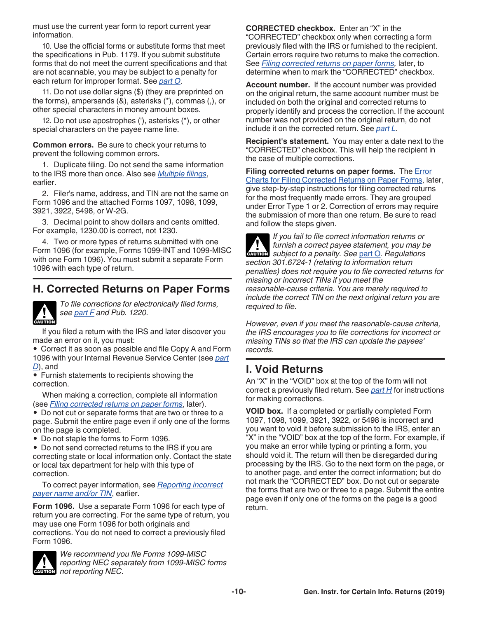<span id="page-9-0"></span>must use the current year form to report current year information.

10. Use the official forms or substitute forms that meet the specifications in Pub. 1179. If you submit substitute forms that do not meet the current specifications and that are not scannable, you may be subject to a penalty for each return for improper format. See *[part O](#page-17-0)*.

11. Do not use dollar signs (\$) (they are preprinted on the forms), ampersands (&), asterisks (\*), commas (,), or other special characters in money amount boxes.

12. Do not use apostrophes ('), asterisks (\*), or other special characters on the payee name line.

**Common errors.** Be sure to check your returns to prevent the following common errors.

1. Duplicate filing. Do not send the same information to the IRS more than once. Also see *[Multiple filings](#page-8-0)*, earlier.

2. Filer's name, address, and TIN are not the same on Form 1096 and the attached Forms 1097, 1098, 1099, 3921, 3922, 5498, or W-2G.

3. Decimal point to show dollars and cents omitted. For example, 1230.00 is correct, not 1230.

4. Two or more types of returns submitted with one Form 1096 (for example, Forms 1099-INT and 1099-MISC with one Form 1096). You must submit a separate Form 1096 with each type of return.

# **H. Corrected Returns on Paper Forms**



*To file corrections for electronically filed forms, see [part F](#page-7-0) and Pub. 1220.*

If you filed a return with the IRS and later discover you made an error on it, you must:

• Correct it as soon as possible and file Copy A and Form 1096 with your Internal Revenue Service Center (see *[part](#page-6-0) [D](#page-6-0)*), and

• Furnish statements to recipients showing the correction.

When making a correction, complete all information (see *Filing corrected returns on paper forms*, later).

• Do not cut or separate forms that are two or three to a page. Submit the entire page even if only one of the forms on the page is completed.

• Do not staple the forms to Form 1096.

• Do not send corrected returns to the IRS if you are correcting state or local information only. Contact the state or local tax department for help with this type of correction.

To correct payer information, see *[Reporting incorrect](#page-7-0)  [payer name and/or TIN](#page-7-0)*, earlier.

**Form 1096.** Use a separate Form 1096 for each type of return you are correcting. For the same type of return, you may use one Form 1096 for both originals and corrections. You do not need to correct a previously filed Form 1096.



*We recommend you file Forms 1099-MISC reporting NEC separately from 1099-MISC forms*  **reporting NEC separation**<br> **EXECERCY NEC.** 

**CORRECTED checkbox.** Enter an "X" in the "CORRECTED" checkbox only when correcting a form previously filed with the IRS or furnished to the recipient. Certain errors require two returns to make the correction. See *Filing corrected returns on paper forms,* later, to determine when to mark the "CORRECTED" checkbox.

**Account number.** If the account number was provided on the original return, the same account number must be included on both the original and corrected returns to properly identify and process the correction. If the account number was not provided on the original return, do not include it on the corrected return. See *[part L](#page-12-0)*.

**Recipient's statement.** You may enter a date next to the "CORRECTED" checkbox. This will help the recipient in the case of multiple corrections.

**Filing corrected returns on paper forms.** The [Error](#page-10-0) [Charts for Filing Corrected Returns on Paper Forms](#page-10-0), later, give step-by-step instructions for filing corrected returns for the most frequently made errors. They are grouped under Error Type 1 or 2. Correction of errors may require the submission of more than one return. Be sure to read and follow the steps given.

*If you fail to file correct information returns or furnish a correct payee statement, you may be*  furnish a correct payee statement, you may be a subject to a penalty. See [part O](#page-17-0). Regulations *section 301.6724-1 (relating to information return penalties) does not require you to file corrected returns for missing or incorrect TINs if you meet the reasonable-cause criteria. You are merely required to include the correct TIN on the next original return you are required to file.*

*However, even if you meet the reasonable-cause criteria, the IRS encourages you to file corrections for incorrect or missing TINs so that the IRS can update the payees' records.*

# **I. Void Returns**

An "X" in the "VOID" box at the top of the form will not correct a previously filed return. See *part H* for instructions for making corrections.

**VOID box.** If a completed or partially completed Form 1097, 1098, 1099, 3921, 3922, or 5498 is incorrect and you want to void it before submission to the IRS, enter an "X" in the "VOID" box at the top of the form. For example, if you make an error while typing or printing a form, you should void it. The return will then be disregarded during processing by the IRS. Go to the next form on the page, or to another page, and enter the correct information; but do not mark the "CORRECTED" box. Do not cut or separate the forms that are two or three to a page. Submit the entire page even if only one of the forms on the page is a good return.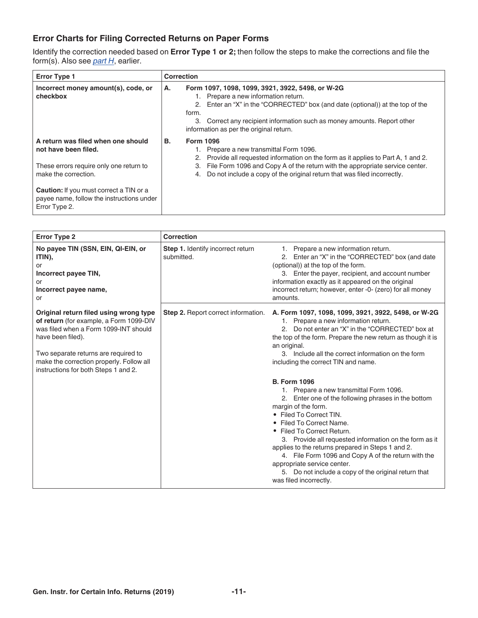### <span id="page-10-0"></span>**Error Charts for Filing Corrected Returns on Paper Forms**

Identify the correction needed based on **Error Type 1 or 2;** then follow the steps to make the corrections and file the form(s). Also see *[part H](#page-9-0)*, earlier.

| <b>Error Type 1</b>                                                                                                                                                                                                                           | <b>Correction</b>                                                                                                                                                                                                                                                                                                               |
|-----------------------------------------------------------------------------------------------------------------------------------------------------------------------------------------------------------------------------------------------|---------------------------------------------------------------------------------------------------------------------------------------------------------------------------------------------------------------------------------------------------------------------------------------------------------------------------------|
| Incorrect money amount(s), code, or<br>checkbox                                                                                                                                                                                               | Form 1097, 1098, 1099, 3921, 3922, 5498, or W-2G<br>А.<br>1. Prepare a new information return.<br>2. Enter an "X" in the "CORRECTED" box (and date (optional)) at the top of the<br>form.<br>Correct any recipient information such as money amounts. Report other<br>3.<br>information as per the original return.             |
| A return was filed when one should<br>not have been filed.<br>These errors require only one return to<br>make the correction.<br><b>Caution:</b> If you must correct a TIN or a<br>payee name, follow the instructions under<br>Error Type 2. | <b>Form 1096</b><br>В.<br>Prepare a new transmittal Form 1096.<br>Provide all requested information on the form as it applies to Part A, 1 and 2.<br>2.<br>File Form 1096 and Copy A of the return with the appropriate service center.<br>3.<br>Do not include a copy of the original return that was filed incorrectly.<br>4. |

| <b>Error Type 2</b>                                                                                                                                                                                                                                                         | Correction                                      |                                                                                                                                                                                                                                                                                                                                                                                                                                                                                                                          |
|-----------------------------------------------------------------------------------------------------------------------------------------------------------------------------------------------------------------------------------------------------------------------------|-------------------------------------------------|--------------------------------------------------------------------------------------------------------------------------------------------------------------------------------------------------------------------------------------------------------------------------------------------------------------------------------------------------------------------------------------------------------------------------------------------------------------------------------------------------------------------------|
| No payee TIN (SSN, EIN, QI-EIN, or<br>ITIN),<br>or<br>Incorrect payee TIN,<br>or<br>Incorrect payee name,<br>or                                                                                                                                                             | Step 1. Identify incorrect return<br>submitted. | 1. Prepare a new information return.<br>2. Enter an "X" in the "CORRECTED" box (and date<br>(optional)) at the top of the form.<br>3. Enter the payer, recipient, and account number<br>information exactly as it appeared on the original<br>incorrect return; however, enter -0- (zero) for all money<br>amounts.                                                                                                                                                                                                      |
| Original return filed using wrong type<br>of return (for example, a Form 1099-DIV<br>was filed when a Form 1099-INT should<br>have been filed).<br>Two separate returns are required to<br>make the correction properly. Follow all<br>instructions for both Steps 1 and 2. | Step 2. Report correct information.             | A. Form 1097, 1098, 1099, 3921, 3922, 5498, or W-2G<br>1. Prepare a new information return.<br>2. Do not enter an "X" in the "CORRECTED" box at<br>the top of the form. Prepare the new return as though it is<br>an original.<br>3. Include all the correct information on the form<br>including the correct TIN and name.                                                                                                                                                                                              |
|                                                                                                                                                                                                                                                                             |                                                 | <b>B. Form 1096</b><br>1. Prepare a new transmittal Form 1096.<br>2. Enter one of the following phrases in the bottom<br>margin of the form.<br>• Filed To Correct TIN.<br>• Filed To Correct Name.<br>• Filed To Correct Return.<br>3. Provide all requested information on the form as it<br>applies to the returns prepared in Steps 1 and 2.<br>4. File Form 1096 and Copy A of the return with the<br>appropriate service center.<br>5. Do not include a copy of the original return that<br>was filed incorrectly. |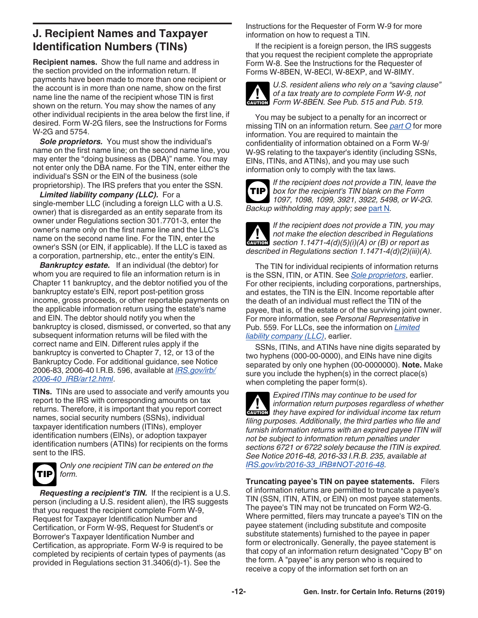# <span id="page-11-0"></span>**J. Recipient Names and Taxpayer Identification Numbers (TINs)**

**Recipient names.** Show the full name and address in the section provided on the information return. If payments have been made to more than one recipient or the account is in more than one name, show on the first name line the name of the recipient whose TIN is first shown on the return. You may show the names of any other individual recipients in the area below the first line, if desired. Form W-2G filers, see the Instructions for Forms W-2G and 5754.

**Sole proprietors.** You must show the individual's name on the first name line; on the second name line, you may enter the "doing business as (DBA)" name. You may not enter only the DBA name. For the TIN, enter either the individual's SSN or the EIN of the business (sole proprietorship). The IRS prefers that you enter the SSN.

*Limited liability company (LLC).* For a single-member LLC (including a foreign LLC with a U.S. owner) that is disregarded as an entity separate from its owner under Regulations section 301.7701-3, enter the owner's name only on the first name line and the LLC's name on the second name line. For the TIN, enter the owner's SSN (or EIN, if applicable). If the LLC is taxed as a corporation, partnership, etc., enter the entity's EIN.

*Bankruptcy estate.* If an individual (the debtor) for whom you are required to file an information return is in Chapter 11 bankruptcy, and the debtor notified you of the bankruptcy estate's EIN, report post-petition gross income, gross proceeds, or other reportable payments on the applicable information return using the estate's name and EIN. The debtor should notify you when the bankruptcy is closed, dismissed, or converted, so that any subsequent information returns will be filed with the correct name and EIN. Different rules apply if the bankruptcy is converted to Chapter 7, 12, or 13 of the Bankruptcy Code. For additional guidance, see Notice 2006-83, 2006-40 I.R.B. 596, available at *[IRS.gov/irb/](https://www.irs.gov/irb/2006-40_IRB/ar12.html) [2006-40\\_IRB/ar12.html](https://www.irs.gov/irb/2006-40_IRB/ar12.html)*.

**TINs.** TINs are used to associate and verify amounts you report to the IRS with corresponding amounts on tax returns. Therefore, it is important that you report correct names, social security numbers (SSNs), individual taxpayer identification numbers (ITINs), employer identification numbers (EINs), or adoption taxpayer identification numbers (ATINs) for recipients on the forms sent to the IRS.



*Only one recipient TIN can be entered on the form.*

*Requesting a recipient's TIN.* If the recipient is a U.S. person (including a U.S. resident alien), the IRS suggests that you request the recipient complete Form W-9, Request for Taxpayer Identification Number and Certification, or Form W-9S, Request for Student's or Borrower's Taxpayer Identification Number and Certification, as appropriate. Form W-9 is required to be completed by recipients of certain types of payments (as provided in Regulations section 31.3406(d)-1). See the

Instructions for the Requester of Form W-9 for more information on how to request a TIN.

If the recipient is a foreign person, the IRS suggests that you request the recipient complete the appropriate Form W-8. See the Instructions for the Requester of Forms W-8BEN, W-8ECI, W-8EXP, and W-8IMY.



*U.S. resident aliens who rely on a "saving clause" of a tax treaty are to complete Form W-9, not*  of a tax treaty are to complete Form W-9, no<br> **EXECUTE:** Form W-8BEN. See Pub. 515 and Pub. 519.

You may be subject to a penalty for an incorrect or missing TIN on an information return. See *[part O](#page-17-0)* for more information. You are required to maintain the confidentiality of information obtained on a Form W-9/ W-9S relating to the taxpayer's identity (including SSNs, EINs, ITINs, and ATINs), and you may use such information only to comply with the tax laws.

*If the recipient does not provide a TIN, leave the box for the recipient's TIN blank on the Form 1097, 1098, 1099, 3921, 3922, 5498, or W-2G. Backup withholding may apply; see* [part N](#page-16-0)*.* **TIP**



*If the recipient does not provide a TIN, you may not make the election described in Regulations section 1.1471-4(d)(5)(i)(A) or (B) or report as described in Regulations section 1.1471-4(d)(2)(iii)(A).*

The TIN for individual recipients of information returns is the SSN, ITIN, or ATIN. See *Sole proprietors*, earlier. For other recipients, including corporations, partnerships, and estates, the TIN is the EIN. Income reportable after the death of an individual must reflect the TIN of the payee, that is, of the estate or of the surviving joint owner. For more information, see *Personal Representative* in Pub. 559. For LLCs, see the information on *Limited liability company (LLC)*, earlier.

SSNs, ITINs, and ATINs have nine digits separated by two hyphens (000-00-0000), and EINs have nine digits separated by only one hyphen (00-0000000). **Note.** Make sure you include the hyphen(s) in the correct place(s) when completing the paper form(s).

*Expired ITINs may continue to be used for information return purposes regardless of whether they have expired for individual income tax return purposes regardless of whether filing purposes. Additionally, the third parties who file and furnish information returns with an expired payee ITIN will not be subject to information return penalties under sections 6721 or 6722 solely because the ITIN is expired. See Notice 2016-48, 2016-33 I.R.B. 235, available at [IRS.gov/irb/2016-33\\_IRB#NOT-2016-48](https://www.irs.gov/irb/2016-33_IRB#NOT-2016-48).*

**Truncating payee's TIN on payee statements.** Filers of information returns are permitted to truncate a payee's TIN (SSN, ITIN, ATIN, or EIN) on most payee statements. The payee's TIN may not be truncated on Form W2-G. Where permitted, filers may truncate a payee's TIN on the payee statement (including substitute and composite substitute statements) furnished to the payee in paper form or electronically. Generally, the payee statement is that copy of an information return designated "Copy B" on the form. A "payee" is any person who is required to receive a copy of the information set forth on an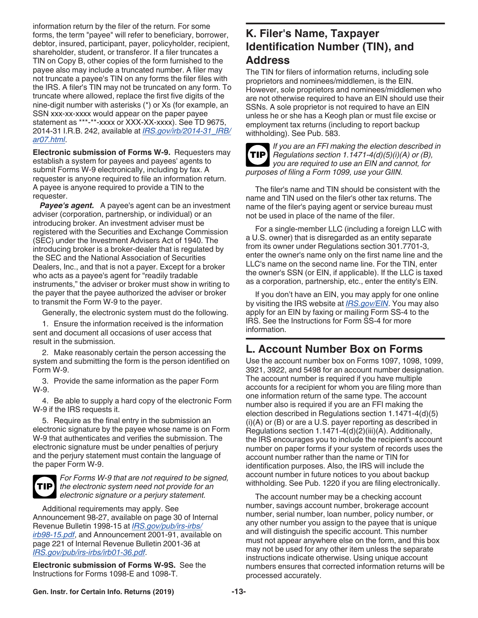<span id="page-12-0"></span>information return by the filer of the return. For some forms, the term "payee" will refer to beneficiary, borrower, debtor, insured, participant, payer, policyholder, recipient, shareholder, student, or transferor. If a filer truncates a TIN on Copy B, other copies of the form furnished to the payee also may include a truncated number. A filer may not truncate a payee's TIN on any forms the filer files with the IRS. A filer's TIN may not be truncated on any form. To truncate where allowed, replace the first five digits of the nine-digit number with asterisks (\*) or Xs (for example, an SSN xxx-xx-xxxx would appear on the paper payee statement as \*\*\*-\*\*-xxxx or XXX-XX-xxxx). See TD 9675, 2014-31 I.R.B. 242, available at *[IRS.gov/irb/2014-31\\_IRB/](https://www.irs.gov/irb/2014-31_IRB/ar07.html) [ar07.html](https://www.irs.gov/irb/2014-31_IRB/ar07.html)*.

**Electronic submission of Forms W-9.** Requesters may establish a system for payees and payees' agents to submit Forms W-9 electronically, including by fax. A requester is anyone required to file an information return. A payee is anyone required to provide a TIN to the requester.

*Payee's agent.* A payee's agent can be an investment adviser (corporation, partnership, or individual) or an introducing broker. An investment adviser must be registered with the Securities and Exchange Commission (SEC) under the Investment Advisers Act of 1940. The introducing broker is a broker-dealer that is regulated by the SEC and the National Association of Securities Dealers, Inc., and that is not a payer. Except for a broker who acts as a payee's agent for "readily tradable instruments," the adviser or broker must show in writing to the payer that the payee authorized the adviser or broker to transmit the Form W-9 to the payer.

Generally, the electronic system must do the following.

1. Ensure the information received is the information sent and document all occasions of user access that result in the submission.

2. Make reasonably certain the person accessing the system and submitting the form is the person identified on Form W-9.

3. Provide the same information as the paper Form W-9.

4. Be able to supply a hard copy of the electronic Form W-9 if the IRS requests it.

5. Require as the final entry in the submission an electronic signature by the payee whose name is on Form W-9 that authenticates and verifies the submission. The electronic signature must be under penalties of perjury and the perjury statement must contain the language of the paper Form W-9.



*For Forms W-9 that are not required to be signed, the electronic system need not provide for an electronic signature or a perjury statement.*

Additional requirements may apply. See Announcement 98-27, available on page 30 of Internal Revenue Bulletin 1998-15 at *[IRS.gov/pub/irs-irbs/](https://www.irs.gov/pub/irs-irbs/irb98-15.pdf) [irb98-15.pdf](https://www.irs.gov/pub/irs-irbs/irb98-15.pdf)*, and Announcement 2001-91, available on page 221 of Internal Revenue Bulletin 2001-36 at *[IRS.gov/pub/irs-irbs/irb01-36.pdf](https://www.irs.gov/pub/irs-irbs/irb01-36.pdf)*.

**Electronic submission of Forms W-9S.** See the Instructions for Forms 1098-E and 1098-T.

# **K. Filer's Name, Taxpayer Identification Number (TIN), and Address**

The TIN for filers of information returns, including sole proprietors and nominees/middlemen, is the EIN. However, sole proprietors and nominees/middlemen who are not otherwise required to have an EIN should use their SSNs. A sole proprietor is not required to have an EIN unless he or she has a Keogh plan or must file excise or employment tax returns (including to report backup withholding). See Pub. 583.



*If you are an FFI making the election described in*  **TIP** Regulations section 1.1471-4(d)(5)(i)(A) or (B), *you are required to use an EIN and cannot, for purposes of filing a Form 1099, use your GIIN.*

The filer's name and TIN should be consistent with the name and TIN used on the filer's other tax returns. The name of the filer's paying agent or service bureau must not be used in place of the name of the filer.

For a single-member LLC (including a foreign LLC with a U.S. owner) that is disregarded as an entity separate from its owner under Regulations section 301.7701-3, enter the owner's name only on the first name line and the LLC's name on the second name line. For the TIN, enter the owner's SSN (or EIN, if applicable). If the LLC is taxed as a corporation, partnership, etc., enter the entity's EIN.

If you don't have an EIN, you may apply for one online by visiting the IRS website at *[IRS.gov/EIN](https://www.irs.gov/ein)*. You may also apply for an EIN by faxing or mailing Form SS-4 to the IRS. See the Instructions for Form SS-4 for more information.

# **L. Account Number Box on Forms**

Use the account number box on Forms 1097, 1098, 1099, 3921, 3922, and 5498 for an account number designation. The account number is required if you have multiple accounts for a recipient for whom you are filing more than one information return of the same type. The account number also is required if you are an FFI making the election described in Regulations section 1.1471-4(d)(5)  $(i)(A)$  or  $(B)$  or are a U.S. payer reporting as described in Regulations section 1.1471-4(d)(2)(iii)(A). Additionally, the IRS encourages you to include the recipient's account number on paper forms if your system of records uses the account number rather than the name or TIN for identification purposes. Also, the IRS will include the account number in future notices to you about backup withholding. See Pub. 1220 if you are filing electronically.

The account number may be a checking account number, savings account number, brokerage account number, serial number, loan number, policy number, or any other number you assign to the payee that is unique and will distinguish the specific account. This number must not appear anywhere else on the form, and this box may not be used for any other item unless the separate instructions indicate otherwise. Using unique account numbers ensures that corrected information returns will be processed accurately.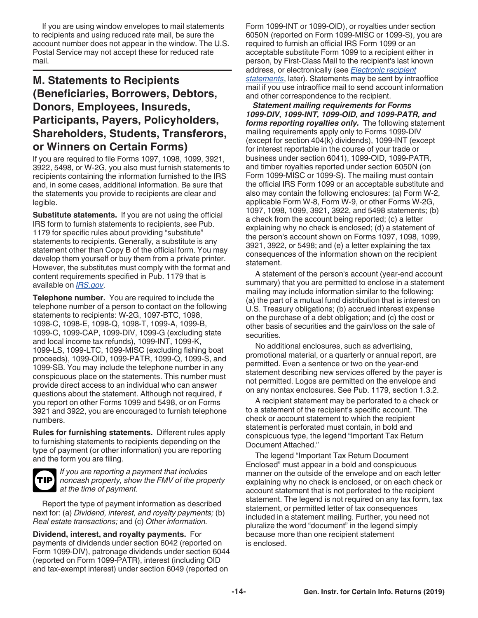<span id="page-13-0"></span>If you are using window envelopes to mail statements to recipients and using reduced rate mail, be sure the account number does not appear in the window. The U.S. Postal Service may not accept these for reduced rate mail.

# **M. Statements to Recipients (Beneficiaries, Borrowers, Debtors, Donors, Employees, Insureds, Participants, Payers, Policyholders, Shareholders, Students, Transferors, or Winners on Certain Forms)**

If you are required to file Forms 1097, 1098, 1099, 3921, 3922, 5498, or W-2G, you also must furnish statements to recipients containing the information furnished to the IRS and, in some cases, additional information. Be sure that the statements you provide to recipients are clear and legible.

**Substitute statements.** If you are not using the official IRS form to furnish statements to recipients, see Pub. 1179 for specific rules about providing "substitute" statements to recipients. Generally, a substitute is any statement other than Copy B of the official form. You may develop them yourself or buy them from a private printer. However, the substitutes must comply with the format and content requirements specified in Pub. 1179 that is available on *[IRS.gov](https://www.irs.gov)*.

**Telephone number.** You are required to include the telephone number of a person to contact on the following statements to recipients: W-2G, 1097-BTC, 1098, 1098-C, 1098-E, 1098-Q, 1098-T, 1099-A, 1099-B, 1099-C, 1099-CAP, 1099-DIV, 1099-G (excluding state and local income tax refunds), 1099-INT, 1099-K, 1099-LS, 1099-LTC, 1099-MISC (excluding fishing boat proceeds), 1099-OID, 1099-PATR, 1099-Q, 1099-S, and 1099-SB. You may include the telephone number in any conspicuous place on the statements. This number must provide direct access to an individual who can answer questions about the statement. Although not required, if you report on other Forms 1099 and 5498, or on Forms 3921 and 3922, you are encouraged to furnish telephone numbers.

**Rules for furnishing statements.** Different rules apply to furnishing statements to recipients depending on the type of payment (or other information) you are reporting and the form you are filing.



*If you are reporting a payment that includes noncash property, show the FMV of the property at the time of payment.*

Report the type of payment information as described next for: (a) *Dividend, interest, and royalty payments;* (b) *Real estate transactions;* and (c) *Other information.*

**Dividend, interest, and royalty payments.** For payments of dividends under section 6042 (reported on Form 1099-DIV), patronage dividends under section 6044 (reported on Form 1099-PATR), interest (including OID and tax-exempt interest) under section 6049 (reported on

Form 1099-INT or 1099-OID), or royalties under section 6050N (reported on Form 1099-MISC or 1099-S), you are required to furnish an official IRS Form 1099 or an acceptable substitute Form 1099 to a recipient either in person, by First-Class Mail to the recipient's last known address, or electronically (see *[Electronic recipient](#page-15-0) [statements](#page-15-0)*, later). Statements may be sent by intraoffice mail if you use intraoffice mail to send account information and other correspondence to the recipient.

*Statement mailing requirements for Forms 1099-DIV, 1099-INT, 1099-OID, and 1099-PATR, and forms reporting royalties only.* The following statement mailing requirements apply only to Forms 1099-DIV (except for section 404(k) dividends), 1099-INT (except for interest reportable in the course of your trade or business under section 6041), 1099-OID, 1099-PATR, and timber royalties reported under section 6050N (on Form 1099-MISC or 1099-S). The mailing must contain the official IRS Form 1099 or an acceptable substitute and also may contain the following enclosures: (a) Form W-2, applicable Form W-8, Form W-9, or other Forms W-2G, 1097, 1098, 1099, 3921, 3922, and 5498 statements; (b) a check from the account being reported; (c) a letter explaining why no check is enclosed; (d) a statement of the person's account shown on Forms 1097, 1098, 1099, 3921, 3922, or 5498; and (e) a letter explaining the tax consequences of the information shown on the recipient statement.

A statement of the person's account (year-end account summary) that you are permitted to enclose in a statement mailing may include information similar to the following: (a) the part of a mutual fund distribution that is interest on U.S. Treasury obligations; (b) accrued interest expense on the purchase of a debt obligation; and (c) the cost or other basis of securities and the gain/loss on the sale of securities.

No additional enclosures, such as advertising, promotional material, or a quarterly or annual report, are permitted. Even a sentence or two on the year-end statement describing new services offered by the payer is not permitted. Logos are permitted on the envelope and on any nontax enclosures. See Pub. 1179, section 1.3.2.

A recipient statement may be perforated to a check or to a statement of the recipient's specific account. The check or account statement to which the recipient statement is perforated must contain, in bold and conspicuous type, the legend "Important Tax Return Document Attached."

The legend "Important Tax Return Document Enclosed" must appear in a bold and conspicuous manner on the outside of the envelope and on each letter explaining why no check is enclosed, or on each check or account statement that is not perforated to the recipient statement. The legend is not required on any tax form, tax statement, or permitted letter of tax consequences included in a statement mailing. Further, you need not pluralize the word "document" in the legend simply because more than one recipient statement is enclosed.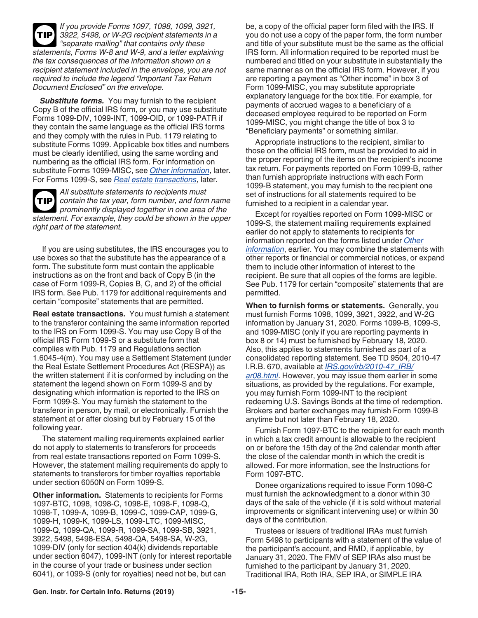<span id="page-14-0"></span>*If you provide Forms 1097, 1098, 1099, 3921, 3922, 5498, or W-2G recipient statements in a "separate mailing" that contains only these statements, Forms W-8 and W-9, and a letter explaining the tax consequences of the information shown on a recipient statement included in the envelope, you are not required to include the legend "Important Tax Return Document Enclosed" on the envelope.* **TIP**

*Substitute forms.* You may furnish to the recipient Copy B of the official IRS form, or you may use substitute Forms 1099-DIV, 1099-INT, 1099-OID, or 1099-PATR if they contain the same language as the official IRS forms and they comply with the rules in Pub. 1179 relating to substitute Forms 1099. Applicable box titles and numbers must be clearly identified, using the same wording and numbering as the official IRS form. For information on substitute Forms 1099-MISC, see *Other information*, later. For Forms 1099-S, see *Real estate transactions*, later.

*All substitute statements to recipients must contain the tax year, form number, and form name prominently displayed together in one area of the statement. For example, they could be shown in the upper right part of the statement.* **TIP**

If you are using substitutes, the IRS encourages you to use boxes so that the substitute has the appearance of a form. The substitute form must contain the applicable instructions as on the front and back of Copy B (in the case of Form 1099-R, Copies B, C, and 2) of the official IRS form. See Pub. 1179 for additional requirements and certain "composite" statements that are permitted.

**Real estate transactions.** You must furnish a statement to the transferor containing the same information reported to the IRS on Form 1099-S. You may use Copy B of the official IRS Form 1099-S or a substitute form that complies with Pub. 1179 and Regulations section 1.6045-4(m). You may use a Settlement Statement (under the Real Estate Settlement Procedures Act (RESPA)) as the written statement if it is conformed by including on the statement the legend shown on Form 1099-S and by designating which information is reported to the IRS on Form 1099-S. You may furnish the statement to the transferor in person, by mail, or electronically. Furnish the statement at or after closing but by February 15 of the following year.

The statement mailing requirements explained earlier do not apply to statements to transferors for proceeds from real estate transactions reported on Form 1099-S. However, the statement mailing requirements do apply to statements to transferors for timber royalties reportable under section 6050N on Form 1099-S.

**Other information.** Statements to recipients for Forms 1097-BTC, 1098, 1098-C, 1098-E, 1098-F, 1098-Q, 1098-T, 1099-A, 1099-B, 1099-C, 1099-CAP, 1099-G, 1099-H, 1099-K, 1099-LS, 1099-LTC, 1099-MISC, 1099-Q, 1099-QA, 1099-R, 1099-SA, 1099-SB, 3921, 3922, 5498, 5498-ESA, 5498-QA, 5498-SA, W-2G, 1099-DIV (only for section 404(k) dividends reportable under section 6047), 1099-INT (only for interest reportable in the course of your trade or business under section 6041), or 1099-S (only for royalties) need not be, but can

be, a copy of the official paper form filed with the IRS. If you do not use a copy of the paper form, the form number and title of your substitute must be the same as the official IRS form. All information required to be reported must be numbered and titled on your substitute in substantially the same manner as on the official IRS form. However, if you are reporting a payment as "Other income" in box 3 of Form 1099-MISC, you may substitute appropriate explanatory language for the box title. For example, for payments of accrued wages to a beneficiary of a deceased employee required to be reported on Form 1099-MISC, you might change the title of box 3 to "Beneficiary payments" or something similar.

Appropriate instructions to the recipient, similar to those on the official IRS form, must be provided to aid in the proper reporting of the items on the recipient's income tax return. For payments reported on Form 1099-B, rather than furnish appropriate instructions with each Form 1099-B statement, you may furnish to the recipient one set of instructions for all statements required to be furnished to a recipient in a calendar year.

Except for royalties reported on Form 1099-MISC or 1099-S, the statement mailing requirements explained earlier do not apply to statements to recipients for information reported on the forms listed under *Other information*, earlier. You may combine the statements with other reports or financial or commercial notices, or expand them to include other information of interest to the recipient. Be sure that all copies of the forms are legible. See Pub. 1179 for certain "composite" statements that are permitted.

**When to furnish forms or statements.** Generally, you must furnish Forms 1098, 1099, 3921, 3922, and W-2G information by January 31, 2020. Forms 1099-B, 1099-S, and 1099-MISC (only if you are reporting payments in box 8 or 14) must be furnished by February 18, 2020. Also, this applies to statements furnished as part of a consolidated reporting statement. See TD 9504, 2010-47 I.R.B. 670, available at *[IRS.gov/irb/2010-47\\_IRB/](https://www.irs.gov/irb/2010-47_IRB/ar08.html) [ar08.html](https://www.irs.gov/irb/2010-47_IRB/ar08.html)*. However, you may issue them earlier in some situations, as provided by the regulations. For example, you may furnish Form 1099-INT to the recipient redeeming U.S. Savings Bonds at the time of redemption. Brokers and barter exchanges may furnish Form 1099-B anytime but not later than February 18, 2020.

Furnish Form 1097-BTC to the recipient for each month in which a tax credit amount is allowable to the recipient on or before the 15th day of the 2nd calendar month after the close of the calendar month in which the credit is allowed. For more information, see the Instructions for Form 1097-BTC.

Donee organizations required to issue Form 1098-C must furnish the acknowledgment to a donor within 30 days of the sale of the vehicle (if it is sold without material improvements or significant intervening use) or within 30 days of the contribution.

Trustees or issuers of traditional IRAs must furnish Form 5498 to participants with a statement of the value of the participant's account, and RMD, if applicable, by January 31, 2020. The FMV of SEP IRAs also must be furnished to the participant by January 31, 2020. Traditional IRA, Roth IRA, SEP IRA, or SIMPLE IRA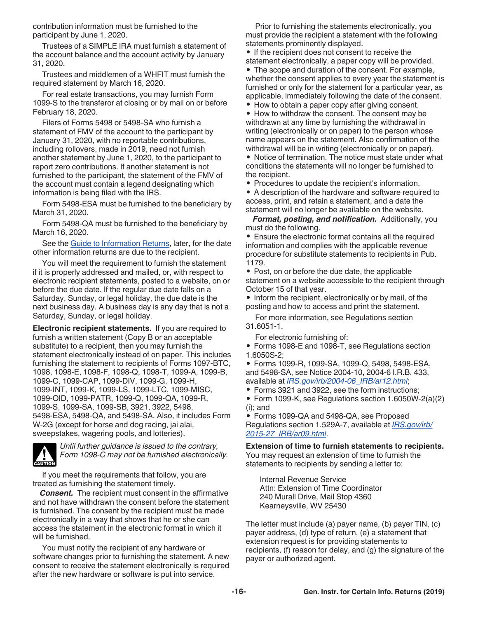<span id="page-15-0"></span>contribution information must be furnished to the participant by June 1, 2020.

Trustees of a SIMPLE IRA must furnish a statement of the account balance and the account activity by January 31, 2020.

Trustees and middlemen of a WHFIT must furnish the required statement by March 16, 2020.

For real estate transactions, you may furnish Form 1099-S to the transferor at closing or by mail on or before February 18, 2020.

Filers of Forms 5498 or 5498-SA who furnish a statement of FMV of the account to the participant by January 31, 2020, with no reportable contributions, including rollovers, made in 2019, need not furnish another statement by June 1, 2020, to the participant to report zero contributions. If another statement is not furnished to the participant, the statement of the FMV of the account must contain a legend designating which information is being filed with the IRS.

Form 5498-ESA must be furnished to the beneficiary by March 31, 2020.

Form 5498-QA must be furnished to the beneficiary by March 16, 2020.

See the [Guide to Information Returns](#page-24-0), later, for the date other information returns are due to the recipient.

You will meet the requirement to furnish the statement if it is properly addressed and mailed, or, with respect to electronic recipient statements, posted to a website, on or before the due date. If the regular due date falls on a Saturday, Sunday, or legal holiday, the due date is the next business day. A business day is any day that is not a Saturday, Sunday, or legal holiday.

**Electronic recipient statements.** If you are required to furnish a written statement (Copy B or an acceptable substitute) to a recipient, then you may furnish the statement electronically instead of on paper. This includes furnishing the statement to recipients of Forms 1097-BTC, 1098, 1098-E, 1098-F, 1098-Q, 1098-T, 1099-A, 1099-B, 1099-C, 1099-CAP, 1099-DIV, 1099-G, 1099-H, 1099-INT, 1099-K, 1099-LS, 1099-LTC, 1099-MISC, 1099-OID, 1099-PATR, 1099-Q, 1099-QA, 1099-R, 1099-S, 1099-SA, 1099-SB, 3921, 3922, 5498, 5498-ESA, 5498-QA, and 5498-SA. Also, it includes Form W-2G (except for horse and dog racing, jai alai, sweepstakes, wagering pools, and lotteries).



*Until further guidance is issued to the contrary, Form 1098-C may not be furnished electronically.*

If you meet the requirements that follow, you are treated as furnishing the statement timely.

*Consent.* The recipient must consent in the affirmative and not have withdrawn the consent before the statement is furnished. The consent by the recipient must be made electronically in a way that shows that he or she can access the statement in the electronic format in which it will be furnished.

You must notify the recipient of any hardware or software changes prior to furnishing the statement. A new consent to receive the statement electronically is required after the new hardware or software is put into service.

Prior to furnishing the statements electronically, you must provide the recipient a statement with the following statements prominently displayed.

• If the recipient does not consent to receive the statement electronically, a paper copy will be provided.

• The scope and duration of the consent. For example, whether the consent applies to every year the statement is furnished or only for the statement for a particular year, as applicable, immediately following the date of the consent.

• How to obtain a paper copy after giving consent.

• How to withdraw the consent. The consent may be withdrawn at any time by furnishing the withdrawal in writing (electronically or on paper) to the person whose name appears on the statement. Also confirmation of the withdrawal will be in writing (electronically or on paper).

• Notice of termination. The notice must state under what conditions the statements will no longer be furnished to the recipient.

• Procedures to update the recipient's information.

• A description of the hardware and software required to access, print, and retain a statement, and a date the statement will no longer be available on the website.

*Format, posting, and notification.* Additionally, you must do the following.

• Ensure the electronic format contains all the required information and complies with the applicable revenue procedure for substitute statements to recipients in Pub. 1179.

• Post, on or before the due date, the applicable statement on a website accessible to the recipient through October 15 of that year.

• Inform the recipient, electronically or by mail, of the posting and how to access and print the statement.

For more information, see Regulations section 31.6051-1.

For electronic furnishing of:

• Forms 1098-E and 1098-T, see Regulations section 1.6050S-2;

• Forms 1099-R, 1099-SA, 1099-Q, 5498, 5498-ESA, and 5498-SA, see Notice 2004-10, 2004-6 I.R.B. 433, available at *[IRS.gov/irb/2004-06\\_IRB/ar12.html](https://www.irs.gov/irb/2004-06_IRB/ar12.html)*;

• Forms 3921 and 3922, see the form instructions;

• Form 1099-K, see Regulations section 1.6050W-2(a)(2) (i); and

• Forms 1099-QA and 5498-QA, see Proposed Regulations section 1.529A-7, available at *[IRS.gov/irb/](https://www.irs.gov/irb/2015-27_IRB/ar09.html) [2015-27\\_IRB/ar09.html](https://www.irs.gov/irb/2015-27_IRB/ar09.html)*.

**Extension of time to furnish statements to recipients.**

You may request an extension of time to furnish the statements to recipients by sending a letter to:

Internal Revenue Service Attn: Extension of Time Coordinator 240 Murall Drive, Mail Stop 4360 Kearneysville, WV 25430

The letter must include (a) payer name, (b) payer TIN, (c) payer address, (d) type of return, (e) a statement that extension request is for providing statements to recipients, (f) reason for delay, and (g) the signature of the payer or authorized agent.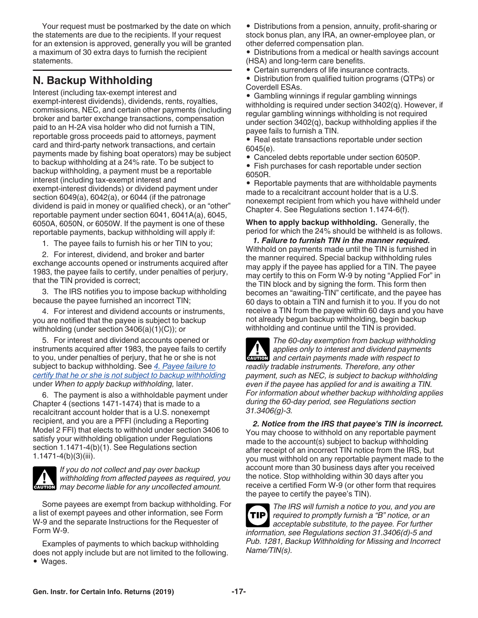<span id="page-16-0"></span>Your request must be postmarked by the date on which the statements are due to the recipients. If your request for an extension is approved, generally you will be granted a maximum of 30 extra days to furnish the recipient statements.

# **N. Backup Withholding**

Interest (including tax-exempt interest and exempt-interest dividends), dividends, rents, royalties, commissions, NEC, and certain other payments (including broker and barter exchange transactions, compensation paid to an H-2A visa holder who did not furnish a TIN, reportable gross proceeds paid to attorneys, payment card and third-party network transactions, and certain payments made by fishing boat operators) may be subject to backup withholding at a 24% rate. To be subject to backup withholding, a payment must be a reportable interest (including tax-exempt interest and exempt-interest dividends) or dividend payment under section 6049(a), 6042(a), or 6044 (if the patronage dividend is paid in money or qualified check), or an "other" reportable payment under section 6041, 6041A(a), 6045, 6050A, 6050N, or 6050W. If the payment is one of these reportable payments, backup withholding will apply if:

1. The payee fails to furnish his or her TIN to you;

2. For interest, dividend, and broker and barter exchange accounts opened or instruments acquired after 1983, the payee fails to certify, under penalties of perjury, that the TIN provided is correct;

3. The IRS notifies you to impose backup withholding because the payee furnished an incorrect TIN;

4. For interest and dividend accounts or instruments, you are notified that the payee is subject to backup withholding (under section 3406(a)(1)(C)); or

5. For interest and dividend accounts opened or instruments acquired after 1983, the payee fails to certify to you, under penalties of perjury, that he or she is not subject to backup withholding. See *[4. Payee failure to](#page-17-0) [certify that he or she is not subject to backup withholding](#page-17-0)*  under *When to apply backup withholding,* later.

6. The payment is also a withholdable payment under Chapter 4 (sections 1471-1474) that is made to a recalcitrant account holder that is a U.S. nonexempt recipient, and you are a PFFI (including a Reporting Model 2 FFI) that elects to withhold under section 3406 to satisfy your withholding obligation under Regulations section 1.1471-4(b)(1). See Regulations section  $1.1471 - 4(b)(3)(iii)$ .



*If you do not collect and pay over backup withholding from affected payees as required, you*  withholding from affected payees as required, y<br>
may become liable for any uncollected amount.

Some payees are exempt from backup withholding. For a list of exempt payees and other information, see Form W-9 and the separate Instructions for the Requester of Form W-9.

Examples of payments to which backup withholding does not apply include but are not limited to the following. • Wages.

• Distributions from a pension, annuity, profit-sharing or stock bonus plan, any IRA, an owner-employee plan, or other deferred compensation plan.

- Distributions from a medical or health savings account (HSA) and long-term care benefits.
- Certain surrenders of life insurance contracts.
- Distribution from qualified tuition programs (QTPs) or Coverdell ESAs.

• Gambling winnings if regular gambling winnings withholding is required under section 3402(q). However, if regular gambling winnings withholding is not required under section 3402(q), backup withholding applies if the payee fails to furnish a TIN.

• Real estate transactions reportable under section 6045(e).

- Canceled debts reportable under section 6050P.
- Fish purchases for cash reportable under section 6050R.

• Reportable payments that are withholdable payments made to a recalcitrant account holder that is a U.S. nonexempt recipient from which you have withheld under Chapter 4. See Regulations section 1.1474-6(f).

**When to apply backup withholding.** Generally, the period for which the 24% should be withheld is as follows.

*1. Failure to furnish TIN in the manner required.*  Withhold on payments made until the TIN is furnished in the manner required. Special backup withholding rules may apply if the payee has applied for a TIN. The payee may certify to this on Form W-9 by noting "Applied For" in the TIN block and by signing the form. This form then becomes an "awaiting-TIN" certificate, and the payee has 60 days to obtain a TIN and furnish it to you. If you do not receive a TIN from the payee within 60 days and you have not already begun backup withholding, begin backup withholding and continue until the TIN is provided.

*The 60-day exemption from backup withholding applies only to interest and dividend payments*  **z** applies only to interest and dividend payments made with respect to *readily tradable instruments. Therefore, any other payment, such as NEC, is subject to backup withholding even if the payee has applied for and is awaiting a TIN. For information about whether backup withholding applies during the 60-day period, see Regulations section 31.3406(g)-3.*

*2. Notice from the IRS that payee's TIN is incorrect.*  You may choose to withhold on any reportable payment made to the account(s) subject to backup withholding after receipt of an incorrect TIN notice from the IRS, but you must withhold on any reportable payment made to the account more than 30 business days after you received the notice. Stop withholding within 30 days after you receive a certified Form W-9 (or other form that requires the payee to certify the payee's TIN).

*The IRS will furnish a notice to you, and you are required to promptly furnish a "B" notice, or an acceptable substitute, to the payee. For further information, see Regulations section 31.3406(d)-5 and Pub. 1281, Backup Withholding for Missing and Incorrect Name/TIN(s).* **TIP**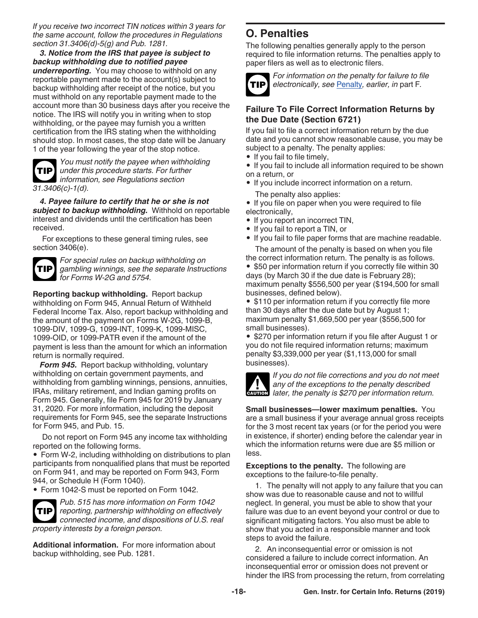<span id="page-17-0"></span>*If you receive two incorrect TIN notices within 3 years for the same account, follow the procedures in Regulations section 31.3406(d)-5(g) and Pub. 1281.*

*3. Notice from the IRS that payee is subject to backup withholding due to notified payee underreporting.* You may choose to withhold on any reportable payment made to the account(s) subject to backup withholding after receipt of the notice, but you must withhold on any reportable payment made to the account more than 30 business days after you receive the notice. The IRS will notify you in writing when to stop withholding, or the payee may furnish you a written certification from the IRS stating when the withholding should stop. In most cases, the stop date will be January 1 of the year following the year of the stop notice.

**TIP**

*You must notify the payee when withholding under this procedure starts. For further information, see Regulations section 31.3406(c)-1(d).*

*4. Payee failure to certify that he or she is not subject to backup withholding.* Withhold on reportable interest and dividends until the certification has been received.

For exceptions to these general timing rules, see section 3406(e).



*For special rules on backup withholding on gambling winnings, see the separate Instructions for Forms W-2G and 5754.*

**Reporting backup withholding.** Report backup withholding on Form 945, Annual Return of Withheld Federal Income Tax. Also, report backup withholding and the amount of the payment on Forms W-2G, 1099-B, 1099-DIV, 1099-G, 1099-INT, 1099-K, 1099-MISC, 1099-OID, or 1099-PATR even if the amount of the payment is less than the amount for which an information return is normally required.

*Form 945.* Report backup withholding, voluntary withholding on certain government payments, and withholding from gambling winnings, pensions, annuities, IRAs, military retirement, and Indian gaming profits on Form 945. Generally, file Form 945 for 2019 by January 31, 2020. For more information, including the deposit requirements for Form 945, see the separate Instructions for Form 945, and Pub. 15.

Do not report on Form 945 any income tax withholding reported on the following forms.

• Form W-2, including withholding on distributions to plan participants from nonqualified plans that must be reported on Form 941, and may be reported on Form 943, Form 944, or Schedule H (Form 1040).

• Form 1042-S must be reported on Form 1042.



*Pub. 515 has more information on Form 1042 reporting, partnership withholding on effectively connected income, and dispositions of U.S. real property interests by a foreign person.*

**Additional information.** For more information about backup withholding, see Pub. 1281.

# **O. Penalties**

The following penalties generally apply to the person required to file information returns. The penalties apply to paper filers as well as to electronic filers.



*For information on the penalty for failure to file electronically, see* [Penalty](#page-8-0)*, earlier, in* part F*.*

### **Failure To File Correct Information Returns by the Due Date (Section 6721)**

If you fail to file a correct information return by the due date and you cannot show reasonable cause, you may be subject to a penalty. The penalty applies:

• If you fail to file timely,

• If you fail to include all information required to be shown on a return, or

• If you include incorrect information on a return.

The penalty also applies:

• If you file on paper when you were required to file electronically,

- If you report an incorrect TIN.
- If you fail to report a TIN, or
- If you fail to file paper forms that are machine readable.

The amount of the penalty is based on when you file the correct information return. The penalty is as follows.

• \$50 per information return if you correctly file within 30 days (by March 30 if the due date is February 28); maximum penalty \$556,500 per year (\$194,500 for small businesses, defined below).

• \$110 per information return if you correctly file more than 30 days after the due date but by August 1; maximum penalty \$1,669,500 per year (\$556,500 for small businesses).

• \$270 per information return if you file after August 1 or you do not file required information returns; maximum penalty \$3,339,000 per year (\$1,113,000 for small businesses).



*If you do not file corrections and you do not meet any of the exceptions to the penalty described*  **later, the penalty is \$270 per information return.**<br> **CAUTION** later, the penalty is \$270 per information return.

**Small businesses—lower maximum penalties.** You are a small business if your average annual gross receipts for the 3 most recent tax years (or for the period you were in existence, if shorter) ending before the calendar year in which the information returns were due are \$5 million or less.

**Exceptions to the penalty.** The following are exceptions to the failure-to-file penalty.

1. The penalty will not apply to any failure that you can show was due to reasonable cause and not to willful neglect. In general, you must be able to show that your failure was due to an event beyond your control or due to significant mitigating factors. You also must be able to show that you acted in a responsible manner and took steps to avoid the failure.

2. An inconsequential error or omission is not considered a failure to include correct information. An inconsequential error or omission does not prevent or hinder the IRS from processing the return, from correlating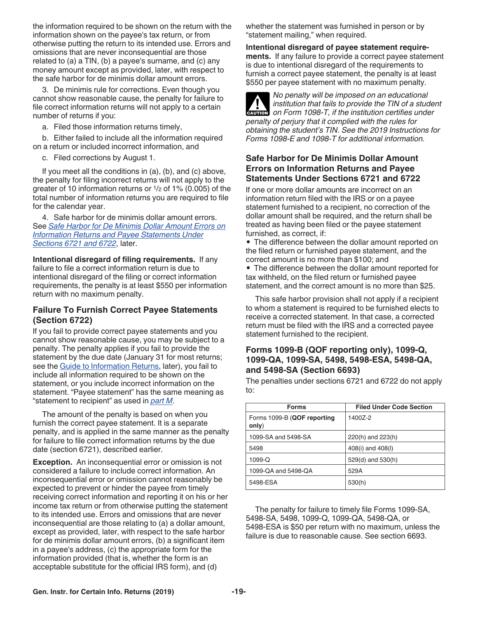the information required to be shown on the return with the information shown on the payee's tax return, or from otherwise putting the return to its intended use. Errors and omissions that are never inconsequential are those related to (a) a TIN, (b) a payee's surname, and (c) any money amount except as provided, later, with respect to the safe harbor for de minimis dollar amount errors.

3. De minimis rule for corrections. Even though you cannot show reasonable cause, the penalty for failure to file correct information returns will not apply to a certain number of returns if you:

a. Filed those information returns timely,

b. Either failed to include all the information required on a return or included incorrect information, and

c. Filed corrections by August 1.

If you meet all the conditions in (a), (b), and (c) above, the penalty for filing incorrect returns will not apply to the greater of 10 information returns or 1/2 of 1% (0.005) of the total number of information returns you are required to file for the calendar year.

4. Safe harbor for de minimis dollar amount errors. See *Safe Harbor for De Minimis Dollar Amount Errors on Information Returns and Payee Statements Under Sections 6721 and 6722*, later.

**Intentional disregard of filing requirements.** If any failure to file a correct information return is due to intentional disregard of the filing or correct information requirements, the penalty is at least \$550 per information return with no maximum penalty.

#### **Failure To Furnish Correct Payee Statements (Section 6722)**

If you fail to provide correct payee statements and you cannot show reasonable cause, you may be subject to a penalty. The penalty applies if you fail to provide the statement by the due date (January 31 for most returns; see the [Guide to Information Returns](#page-24-0), later), you fail to include all information required to be shown on the statement, or you include incorrect information on the statement. "Payee statement" has the same meaning as "statement to recipient" as used in *[part M](#page-13-0)*.

The amount of the penalty is based on when you furnish the correct payee statement. It is a separate penalty, and is applied in the same manner as the penalty for failure to file correct information returns by the due date (section 6721), described earlier.

**Exception.** An inconsequential error or omission is not considered a failure to include correct information. An inconsequential error or omission cannot reasonably be expected to prevent or hinder the payee from timely receiving correct information and reporting it on his or her income tax return or from otherwise putting the statement to its intended use. Errors and omissions that are never inconsequential are those relating to (a) a dollar amount, except as provided, later, with respect to the safe harbor for de minimis dollar amount errors, (b) a significant item in a payee's address, (c) the appropriate form for the information provided (that is, whether the form is an acceptable substitute for the official IRS form), and (d)

whether the statement was furnished in person or by "statement mailing," when required.

**Intentional disregard of payee statement requirements.** If any failure to provide a correct payee statement is due to intentional disregard of the requirements to furnish a correct payee statement, the penalty is at least \$550 per payee statement with no maximum penalty.



*No penalty will be imposed on an educational institution that fails to provide the TIN of a student on Form 1098-T, if the institution certifies under penalty of perjury that it complied with the rules for obtaining the student's TIN. See the 2019 Instructions for Forms 1098-E and 1098-T for additional information.*

### **Safe Harbor for De Minimis Dollar Amount Errors on Information Returns and Payee Statements Under Sections 6721 and 6722**

If one or more dollar amounts are incorrect on an information return filed with the IRS or on a payee statement furnished to a recipient, no correction of the dollar amount shall be required, and the return shall be treated as having been filed or the payee statement furnished, as correct, if:

• The difference between the dollar amount reported on the filed return or furnished payee statement, and the correct amount is no more than \$100; and

• The difference between the dollar amount reported for tax withheld, on the filed return or furnished payee statement, and the correct amount is no more than \$25.

This safe harbor provision shall not apply if a recipient to whom a statement is required to be furnished elects to receive a corrected statement. In that case, a corrected return must be filed with the IRS and a corrected payee statement furnished to the recipient.

#### **Forms 1099-B (QOF reporting only), 1099-Q, 1099-QA, 1099-SA, 5498, 5498-ESA, 5498-QA, and 5498-SA (Section 6693)**

The penalties under sections 6721 and 6722 do not apply to:

| <b>Forms</b>                         | <b>Filed Under Code Section</b> |
|--------------------------------------|---------------------------------|
| Forms 1099-B (QOF reporting<br>only) | 14007-2                         |
| 1099-SA and 5498-SA                  | 220(h) and 223(h)               |
| 5498                                 | 408(i) and 408(l)               |
| $1099 - Q$                           | 529(d) and 530(h)               |
| 1099-QA and 5498-QA                  | 529A                            |
| 5498-ESA                             | 530(h)                          |

The penalty for failure to timely file Forms 1099-SA, 5498-SA, 5498, 1099-Q, 1099-QA, 5498-QA, or 5498-ESA is \$50 per return with no maximum, unless the failure is due to reasonable cause. See section 6693.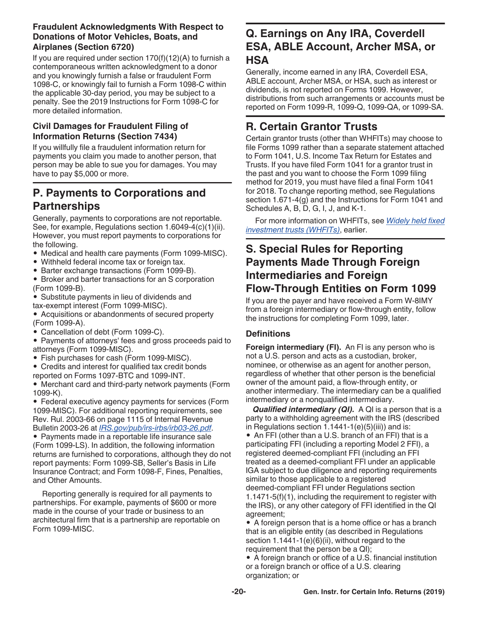### <span id="page-19-0"></span>**Fraudulent Acknowledgments With Respect to Donations of Motor Vehicles, Boats, and Airplanes (Section 6720)**

If you are required under section 170(f)(12)(A) to furnish a contemporaneous written acknowledgment to a donor and you knowingly furnish a false or fraudulent Form 1098-C, or knowingly fail to furnish a Form 1098-C within the applicable 30-day period, you may be subject to a penalty. See the 2019 Instructions for Form 1098-C for more detailed information.

### **Civil Damages for Fraudulent Filing of Information Returns (Section 7434)**

If you willfully file a fraudulent information return for payments you claim you made to another person, that person may be able to sue you for damages. You may have to pay \$5,000 or more.

# **P. Payments to Corporations and Partnerships**

Generally, payments to corporations are not reportable. See, for example, Regulations section 1.6049-4(c)(1)(ii). However, you must report payments to corporations for the following.

- Medical and health care payments (Form 1099-MISC).
- Withheld federal income tax or foreign tax.
- Barter exchange transactions (Form 1099-B).
- Broker and barter transactions for an S corporation (Form 1099-B).
- Substitute payments in lieu of dividends and tax-exempt interest (Form 1099-MISC).
- Acquisitions or abandonments of secured property (Form 1099-A).
- Cancellation of debt (Form 1099-C).
- Payments of attorneys' fees and gross proceeds paid to attorneys (Form 1099-MISC).
- Fish purchases for cash (Form 1099-MISC).
- Credits and interest for qualified tax credit bonds reported on Forms 1097-BTC and 1099-INT.
- Merchant card and third-party network payments (Form 1099-K).

• Federal executive agency payments for services (Form 1099-MISC). For additional reporting requirements, see Rev. Rul. 2003-66 on page 1115 of Internal Revenue Bulletin 2003-26 at *[IRS.gov/pub/irs-irbs/irb03-26.pdf](https://www.irs.gov/pub/irs-irbs/irb03-26.pdf)*.

• Payments made in a reportable life insurance sale (Form 1099-LS). In addition, the following information returns are furnished to corporations, although they do not report payments: Form 1099-SB, Seller's Basis in Life Insurance Contract; and Form 1098-F, Fines, Penalties, and Other Amounts.

Reporting generally is required for all payments to partnerships. For example, payments of \$600 or more made in the course of your trade or business to an architectural firm that is a partnership are reportable on Form 1099-MISC.

# **Q. Earnings on Any IRA, Coverdell ESA, ABLE Account, Archer MSA, or HSA**

Generally, income earned in any IRA, Coverdell ESA, ABLE account, Archer MSA, or HSA, such as interest or dividends, is not reported on Forms 1099. However, distributions from such arrangements or accounts must be reported on Form 1099-R, 1099-Q, 1099-QA, or 1099-SA.

# **R. Certain Grantor Trusts**

Certain grantor trusts (other than WHFITs) may choose to file Forms 1099 rather than a separate statement attached to Form 1041, U.S. Income Tax Return for Estates and Trusts. If you have filed Form 1041 for a grantor trust in the past and you want to choose the Form 1099 filing method for 2019, you must have filed a final Form 1041 for 2018. To change reporting method, see Regulations section 1.671-4(g) and the Instructions for Form 1041 and Schedules A, B, D, G, I, J, and K-1.

For more information on WHFITs, see *[Widely held fixed](#page-3-0)  [investment trusts \(WHFITs\)](#page-3-0)*, earlier.

# **S. Special Rules for Reporting Payments Made Through Foreign Intermediaries and Foreign Flow-Through Entities on Form 1099**

If you are the payer and have received a Form W-8IMY from a foreign intermediary or flow-through entity, follow the instructions for completing Form 1099, later.

### **Definitions**

**Foreign intermediary (FI).** An FI is any person who is not a U.S. person and acts as a custodian, broker, nominee, or otherwise as an agent for another person, regardless of whether that other person is the beneficial owner of the amount paid, a flow-through entity, or another intermediary. The intermediary can be a qualified intermediary or a nonqualified intermediary.

*Qualified intermediary (QI).* A QI is a person that is a party to a withholding agreement with the IRS (described in Regulations section  $1.1441 - 1(e)(5)(iii)$  and is:

• An FFI (other than a U.S. branch of an FFI) that is a participating FFI (including a reporting Model 2 FFI), a registered deemed-compliant FFI (including an FFI treated as a deemed-compliant FFI under an applicable IGA subject to due diligence and reporting requirements similar to those applicable to a registered deemed-compliant FFI under Regulations section 1.1471-5(f)(1), including the requirement to register with the IRS), or any other category of FFI identified in the QI agreement;

• A foreign person that is a home office or has a branch that is an eligible entity (as described in Regulations section 1.1441-1(e)(6)(ii), without regard to the requirement that the person be a QI);

• A foreign branch or office of a U.S. financial institution or a foreign branch or office of a U.S. clearing organization; or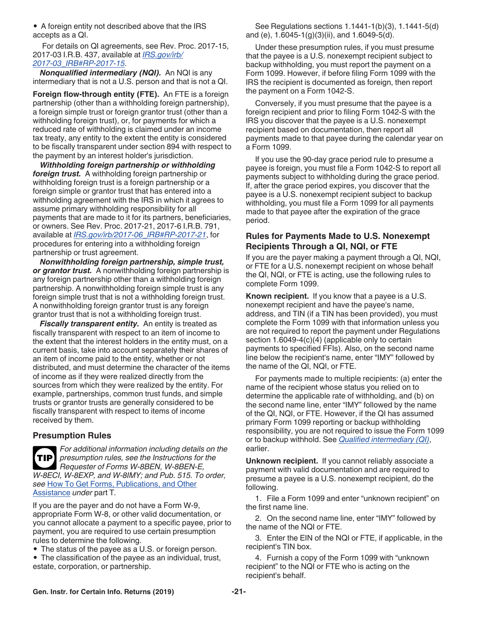<span id="page-20-0"></span>• A foreign entity not described above that the IRS accepts as a QI.

For details on QI agreements, see Rev. Proc. 2017-15, 2017-03 I.R.B. 437, available at *[IRS.gov/irb/](https://www.irs.gov/irb/2017-03_IRB#RP-2017-15l) [2017-03\\_IRB#RP-2017-15](https://www.irs.gov/irb/2017-03_IRB#RP-2017-15l)*.

*Nonqualified intermediary (NQI).* An NQI is any intermediary that is not a U.S. person and that is not a QI.

**Foreign flow-through entity (FTE).** An FTE is a foreign partnership (other than a withholding foreign partnership), a foreign simple trust or foreign grantor trust (other than a withholding foreign trust), or, for payments for which a reduced rate of withholding is claimed under an income tax treaty, any entity to the extent the entity is considered to be fiscally transparent under section 894 with respect to the payment by an interest holder's jurisdiction.

*Withholding foreign partnership or withholding foreign trust.* A withholding foreign partnership or withholding foreign trust is a foreign partnership or a foreign simple or grantor trust that has entered into a withholding agreement with the IRS in which it agrees to assume primary withholding responsibility for all payments that are made to it for its partners, beneficiaries, or owners. See Rev. Proc. 2017-21, 2017-6 I.R.B. 791, available at *[IRS.gov/irb/2017-06\\_IRB#RP-2017-21](https://www.irs.gov/irb/2017-06_IRB#RP-2017-21)*, for procedures for entering into a withholding foreign partnership or trust agreement.

*Nonwithholding foreign partnership, simple trust, or grantor trust.* A nonwithholding foreign partnership is any foreign partnership other than a withholding foreign partnership. A nonwithholding foreign simple trust is any foreign simple trust that is not a withholding foreign trust. A nonwithholding foreign grantor trust is any foreign grantor trust that is not a withholding foreign trust.

**Fiscally transparent entity.** An entity is treated as fiscally transparent with respect to an item of income to the extent that the interest holders in the entity must, on a current basis, take into account separately their shares of an item of income paid to the entity, whether or not distributed, and must determine the character of the items of income as if they were realized directly from the sources from which they were realized by the entity. For example, partnerships, common trust funds, and simple trusts or grantor trusts are generally considered to be fiscally transparent with respect to items of income received by them.

#### **Presumption Rules**

*For additional information including details on the presumption rules, see the Instructions for the Requester of Forms W-8BEN, W-8BEN-E, W-8ECI, W-8EXP, and W-8IMY; and Pub. 515. To order, see* [How To Get Forms, Publications, and Other](#page-22-0)  [Assistance](#page-22-0) *under* part T*.* **TIP**

If you are the payer and do not have a Form W-9, appropriate Form W-8, or other valid documentation, or you cannot allocate a payment to a specific payee, prior to payment, you are required to use certain presumption rules to determine the following.

- The status of the payee as a U.S. or foreign person.
- The classification of the payee as an individual, trust, estate, corporation, or partnership.

See Regulations sections 1.1441-1(b)(3), 1.1441-5(d) and (e), 1.6045-1(g)(3)(ii), and 1.6049-5(d).

Under these presumption rules, if you must presume that the payee is a U.S. nonexempt recipient subject to backup withholding, you must report the payment on a Form 1099. However, if before filing Form 1099 with the IRS the recipient is documented as foreign, then report the payment on a Form 1042-S.

Conversely, if you must presume that the payee is a foreign recipient and prior to filing Form 1042-S with the IRS you discover that the payee is a U.S. nonexempt recipient based on documentation, then report all payments made to that payee during the calendar year on a Form 1099.

If you use the 90-day grace period rule to presume a payee is foreign, you must file a Form 1042-S to report all payments subject to withholding during the grace period. If, after the grace period expires, you discover that the payee is a U.S. nonexempt recipient subject to backup withholding, you must file a Form 1099 for all payments made to that payee after the expiration of the grace period.

#### **Rules for Payments Made to U.S. Nonexempt Recipients Through a QI, NQI, or FTE**

If you are the payer making a payment through a QI, NQI, or FTE for a U.S. nonexempt recipient on whose behalf the QI, NQI, or FTE is acting, use the following rules to complete Form 1099.

**Known recipient.** If you know that a payee is a U.S. nonexempt recipient and have the payee's name, address, and TIN (if a TIN has been provided), you must complete the Form 1099 with that information unless you are not required to report the payment under Regulations section 1.6049-4(c)(4) (applicable only to certain payments to specified FFIs). Also, on the second name line below the recipient's name, enter "IMY" followed by the name of the QI, NQI, or FTE.

For payments made to multiple recipients: (a) enter the name of the recipient whose status you relied on to determine the applicable rate of withholding, and (b) on the second name line, enter "IMY" followed by the name of the QI, NQI, or FTE. However, if the QI has assumed primary Form 1099 reporting or backup withholding responsibility, you are not required to issue the Form 1099 or to backup withhold. See *[Qualified intermediary \(QI\)](#page-19-0)*, earlier.

**Unknown recipient.** If you cannot reliably associate a payment with valid documentation and are required to presume a payee is a U.S. nonexempt recipient, do the following.

1. File a Form 1099 and enter "unknown recipient" on the first name line.

2. On the second name line, enter "IMY" followed by the name of the NQI or FTE.

3. Enter the EIN of the NQI or FTE, if applicable, in the recipient's TIN box.

4. Furnish a copy of the Form 1099 with "unknown recipient" to the NQI or FTE who is acting on the recipient's behalf.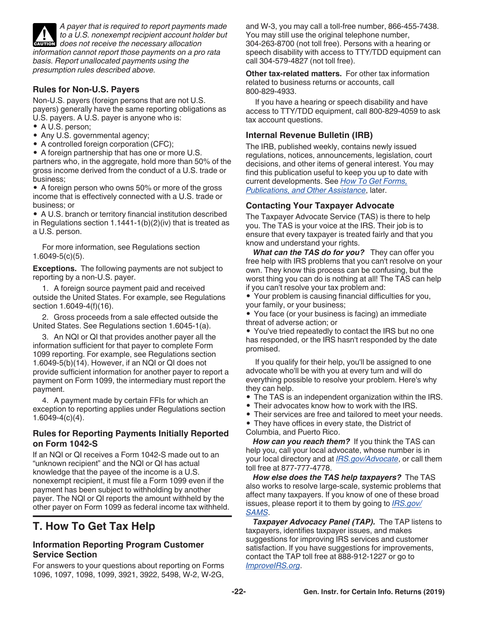<span id="page-21-0"></span>*A payer that is required to report payments made to a U.S. nonexempt recipient account holder but*  **does not receive the necessary allocation**<br> **CAUTION** does not receive the necessary allocation *information cannot report those payments on a pro rata basis. Report unallocated payments using the presumption rules described above.*

### **Rules for Non-U.S. Payers**

Non-U.S. payers (foreign persons that are not U.S. payers) generally have the same reporting obligations as U.S. payers. A U.S. payer is anyone who is:

- A U.S. person;
- Any U.S. governmental agency;
- A controlled foreign corporation (CFC);

• A foreign partnership that has one or more U.S.

partners who, in the aggregate, hold more than 50% of the gross income derived from the conduct of a U.S. trade or business;

• A foreign person who owns 50% or more of the gross income that is effectively connected with a U.S. trade or business; or

• A U.S. branch or territory financial institution described in Regulations section 1.1441-1(b)(2)(iv) that is treated as a U.S. person.

For more information, see Regulations section 1.6049-5(c)(5).

**Exceptions.** The following payments are not subject to reporting by a non-U.S. payer.

1. A foreign source payment paid and received outside the United States. For example, see Regulations section 1.6049-4(f)(16).

2. Gross proceeds from a sale effected outside the United States. See Regulations section 1.6045-1(a).

3. An NQI or QI that provides another payer all the information sufficient for that payer to complete Form 1099 reporting. For example, see Regulations section 1.6049-5(b)(14). However, if an NQI or QI does not provide sufficient information for another payer to report a payment on Form 1099, the intermediary must report the payment.

4. A payment made by certain FFIs for which an exception to reporting applies under Regulations section 1.6049-4(c)(4).

### **Rules for Reporting Payments Initially Reported on Form 1042-S**

If an NQI or QI receives a Form 1042-S made out to an "unknown recipient" and the NQI or QI has actual knowledge that the payee of the income is a U.S. nonexempt recipient, it must file a Form 1099 even if the payment has been subject to withholding by another payer. The NQI or QI reports the amount withheld by the other payer on Form 1099 as federal income tax withheld.

# **T. How To Get Tax Help**

#### **Information Reporting Program Customer Service Section**

For answers to your questions about reporting on Forms 1096, 1097, 1098, 1099, 3921, 3922, 5498, W-2, W-2G, and W-3, you may call a toll-free number, 866-455-7438. You may still use the original telephone number, 304-263-8700 (not toll free). Persons with a hearing or speech disability with access to TTY/TDD equipment can call 304-579-4827 (not toll free).

**Other tax-related matters.** For other tax information related to business returns or accounts, call 800-829-4933.

If you have a hearing or speech disability and have access to TTY/TDD equipment, call 800-829-4059 to ask tax account questions.

### **Internal Revenue Bulletin (IRB)**

The IRB, published weekly, contains newly issued regulations, notices, announcements, legislation, court decisions, and other items of general interest. You may find this publication useful to keep you up to date with current developments. See *[How To Get Forms,](#page-22-0) [Publications, and Other Assistance](#page-22-0)*, later.

### **Contacting Your Taxpayer Advocate**

The Taxpayer Advocate Service (TAS) is there to help you. The TAS is your voice at the IRS. Their job is to ensure that every taxpayer is treated fairly and that you know and understand your rights.

*What can the TAS do for you?* They can offer you free help with IRS problems that you can't resolve on your own. They know this process can be confusing, but the worst thing you can do is nothing at all! The TAS can help if you can't resolve your tax problem and:

• Your problem is causing financial difficulties for you, your family, or your business;

• You face (or your business is facing) an immediate threat of adverse action; or

• You've tried repeatedly to contact the IRS but no one has responded, or the IRS hasn't responded by the date promised.

If you qualify for their help, you'll be assigned to one advocate who'll be with you at every turn and will do everything possible to resolve your problem. Here's why they can help.

- The TAS is an independent organization within the IRS.
- Their advocates know how to work with the IRS.
- Their services are free and tailored to meet your needs.
- They have offices in every state, the District of Columbia, and Puerto Rico.

*How can you reach them?* If you think the TAS can help you, call your local advocate, whose number is in your local directory and at *[IRS.gov/Advocate](https://www.irs.gov/uac/Taxpayer-Advocate-Service-6)*, or call them toll free at 877-777-4778.

*How else does the TAS help taxpayers?* The TAS also works to resolve large-scale, systemic problems that affect many taxpayers. If you know of one of these broad issues, please report it to them by going to *[IRS.gov/](https://www.irs.gov/Advocate/Systemic-Advocacy-Management-System-SAMS) [SAMS](https://www.irs.gov/Advocate/Systemic-Advocacy-Management-System-SAMS)*.

**Taxpayer Advocacy Panel (TAP).** The TAP listens to taxpayers, identifies taxpayer issues, and makes suggestions for improving IRS services and customer satisfaction. If you have suggestions for improvements, contact the TAP toll free at 888-912-1227 or go to *[ImproveIRS.org](https://improveirs.org/)*.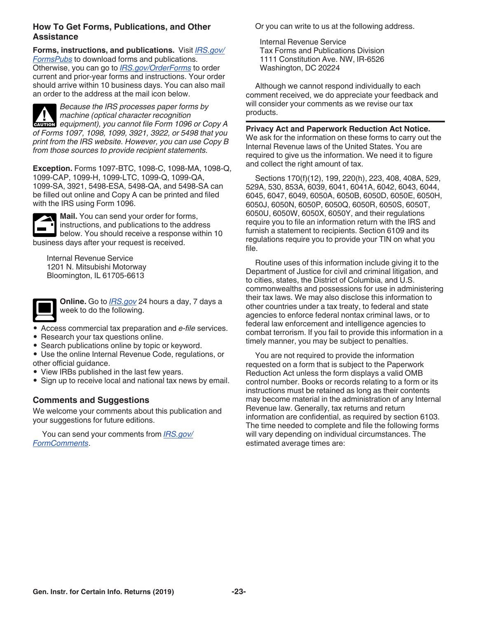#### <span id="page-22-0"></span>**How To Get Forms, Publications, and Other Assistance**

**Forms, instructions, and publications.** Visit *[IRS.gov/](https://www.irs.gov/formspubs) [FormsPubs](https://www.irs.gov/formspubs)* to download forms and publications. Otherwise, you can go to *[IRS.gov/OrderForms](https://www.irs.gov/orderforms)* to order current and prior-year forms and instructions. Your order should arrive within 10 business days. You can also mail an order to the address at the mail icon below.

*Because the IRS processes paper forms by machine (optical character recognition*  **Properties Analysis of the** *equipment*), you cannot file Form 1096 or Copy A *of Forms 1097, 1098, 1099, 3921, 3922, or 5498 that you print from the IRS website. However, you can use Copy B from those sources to provide recipient statements.*

**Exception.** Forms 1097-BTC, 1098-C, 1098-MA, 1098-Q, 1099-CAP, 1099-H, 1099-LTC, 1099-Q, 1099-QA, 1099-SA, 3921, 5498-ESA, 5498-QA, and 5498-SA can be filled out online and Copy A can be printed and filed with the IRS using Form 1096.



**Mail.** You can send your order for forms, instructions, and publications to the address below. You should receive a response within 10 business days after your request is received.

Internal Revenue Service 1201 N. Mitsubishi Motorway Bloomington, IL 61705-6613



**Online.** Go to *[IRS.gov](https://www.irs.gov)* 24 hours a day, 7 days a week to do the following.

- Access commercial tax preparation and *e-file* services.
- Research your tax questions online.
- Search publications online by topic or keyword.
- Use the online Internal Revenue Code, regulations, or other official guidance.
- View IRBs published in the last few years.
- Sign up to receive local and national tax news by email.

#### **Comments and Suggestions**

We welcome your comments about this publication and your suggestions for future editions.

You can send your comments from *[IRS.gov/](https://www.irs.gov/FormComment) [FormComments](https://www.irs.gov/FormComment)*.

Or you can write to us at the following address.

Internal Revenue Service Tax Forms and Publications Division 1111 Constitution Ave. NW, IR-6526 Washington, DC 20224

Although we cannot respond individually to each comment received, we do appreciate your feedback and will consider your comments as we revise our tax products.

### **Privacy Act and Paperwork Reduction Act Notice.**

We ask for the information on these forms to carry out the Internal Revenue laws of the United States. You are required to give us the information. We need it to figure and collect the right amount of tax.

Sections 170(f)(12), 199, 220(h), 223, 408, 408A, 529, 529A, 530, 853A, 6039, 6041, 6041A, 6042, 6043, 6044, 6045, 6047, 6049, 6050A, 6050B, 6050D, 6050E, 6050H, 6050J, 6050N, 6050P, 6050Q, 6050R, 6050S, 6050T, 6050U, 6050W, 6050X, 6050Y, and their regulations require you to file an information return with the IRS and furnish a statement to recipients. Section 6109 and its regulations require you to provide your TIN on what you file.

Routine uses of this information include giving it to the Department of Justice for civil and criminal litigation, and to cities, states, the District of Columbia, and U.S. commonwealths and possessions for use in administering their tax laws. We may also disclose this information to other countries under a tax treaty, to federal and state agencies to enforce federal nontax criminal laws, or to federal law enforcement and intelligence agencies to combat terrorism. If you fail to provide this information in a timely manner, you may be subject to penalties.

You are not required to provide the information requested on a form that is subject to the Paperwork Reduction Act unless the form displays a valid OMB control number. Books or records relating to a form or its instructions must be retained as long as their contents may become material in the administration of any Internal Revenue law. Generally, tax returns and return information are confidential, as required by section 6103. The time needed to complete and file the following forms will vary depending on individual circumstances. The estimated average times are: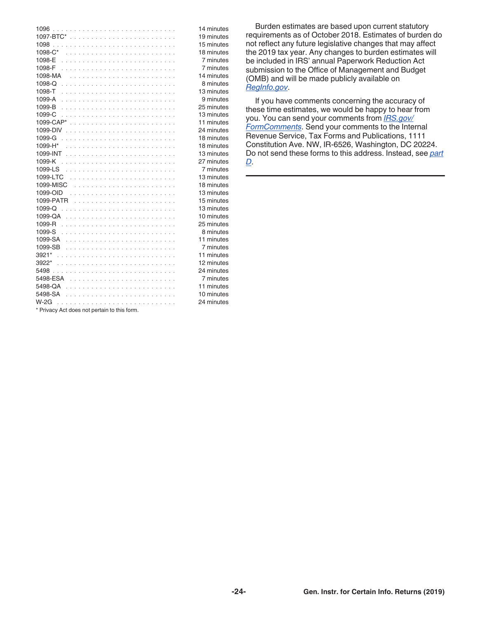|                                              | 14 minutes |
|----------------------------------------------|------------|
|                                              | 19 minutes |
|                                              | 15 minutes |
|                                              | 18 minutes |
|                                              | 7 minutes  |
|                                              | 7 minutes  |
|                                              | 14 minutes |
|                                              | 8 minutes  |
| 1098-T                                       | 13 minutes |
|                                              | 9 minutes  |
|                                              | 25 minutes |
| 1099-C                                       | 13 minutes |
|                                              | 11 minutes |
|                                              | 24 minutes |
|                                              | 18 minutes |
| 1099-H*                                      | 18 minutes |
|                                              | 13 minutes |
|                                              | 27 minutes |
|                                              | 7 minutes  |
|                                              | 13 minutes |
|                                              | 18 minutes |
|                                              | 13 minutes |
|                                              | 15 minutes |
|                                              | 13 minutes |
|                                              | 10 minutes |
|                                              | 25 minutes |
|                                              | 8 minutes  |
|                                              | 11 minutes |
|                                              | 7 minutes  |
|                                              | 11 minutes |
|                                              | 12 minutes |
|                                              | 24 minutes |
|                                              | 7 minutes  |
|                                              | 11 minutes |
|                                              | 10 minutes |
|                                              | 24 minutes |
| * Privacy Act does not pertain to this form. |            |

Burden estimates are based upon current statutory requirements as of October 2018. Estimates of burden do not reflect any future legislative changes that may affect the 2019 tax year. Any changes to burden estimates will be included in IRS' annual Paperwork Reduction Act submission to the Office of Management and Budget (OMB) and will be made publicly available on *[RegInfo.gov](http://www.reginfo.gov)*.

If you have comments concerning the accuracy of these time estimates, we would be happy to hear from you. You can send your comments from *[IRS.gov/](https://www.irs.gov/formcomments) [FormComments](https://www.irs.gov/formcomments)*. Send your comments to the Internal Revenue Service, Tax Forms and Publications, 1111 Constitution Ave. NW, IR-6526, Washington, DC 20224. Do not send these forms to this address. Instead, see *[part](#page-6-0) [D](#page-6-0)*.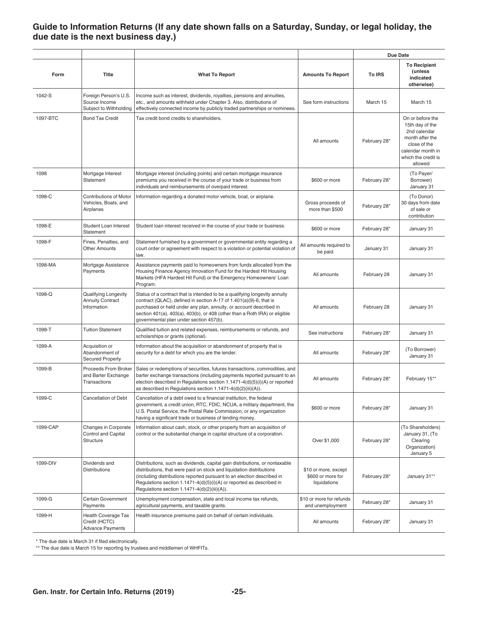### <span id="page-24-0"></span>**Guide to Information Returns (If any date shown falls on a Saturday, Sunday, or legal holiday, the due date is the next business day.)**

|          |                                                                    |                                                                                                                                                                                                                                                                                                                                                       |                                                           | Due Date     |                                                                                                                                               |
|----------|--------------------------------------------------------------------|-------------------------------------------------------------------------------------------------------------------------------------------------------------------------------------------------------------------------------------------------------------------------------------------------------------------------------------------------------|-----------------------------------------------------------|--------------|-----------------------------------------------------------------------------------------------------------------------------------------------|
| Form     | Title                                                              | <b>What To Report</b>                                                                                                                                                                                                                                                                                                                                 | <b>Amounts To Report</b>                                  | To IRS       | <b>To Recipient</b><br>(unless<br>indicated<br>otherwise)                                                                                     |
| 1042-S   | Foreign Person's U.S.<br>Source Income<br>Subject to Withholding   | Income such as interest, dividends, royalties, pensions and annuities,<br>etc., and amounts withheld under Chapter 3. Also, distributions of<br>effectively connected income by publicly traded partnerships or nominees.                                                                                                                             | See form instructions                                     | March 15     | March 15                                                                                                                                      |
| 1097-BTC | <b>Bond Tax Credit</b>                                             | Tax credit bond credits to shareholders.                                                                                                                                                                                                                                                                                                              | All amounts                                               | February 28* | On or before the<br>15th day of the<br>2nd calendar<br>month after the<br>close of the<br>calendar month in<br>which the credit is<br>allowed |
| 1098     | Mortgage Interest<br>Statement                                     | Mortgage interest (including points) and certain mortgage insurance<br>premiums you received in the course of your trade or business from<br>individuals and reimbursements of overpaid interest.                                                                                                                                                     | \$600 or more                                             | February 28* | (To Payer/<br>Borrower)<br>January 31                                                                                                         |
| 1098-C   | <b>Contributions of Motor</b><br>Vehicles, Boats, and<br>Airplanes | Information regarding a donated motor vehicle, boat, or airplane.                                                                                                                                                                                                                                                                                     | Gross proceeds of<br>more than \$500                      | February 28* | (To Donor)<br>30 days from date<br>of sale or<br>contribution                                                                                 |
| 1098-E   | Student Loan Interest<br>Statement                                 | Student loan interest received in the course of your trade or business.                                                                                                                                                                                                                                                                               | \$600 or more                                             | February 28* | January 31                                                                                                                                    |
| 1098-F   | Fines, Penalties, and<br>Other Amounts                             | Statement furnished by a government or governmental entity regarding a<br>court order or agreement with respect to a violation or potential violation of<br>law.                                                                                                                                                                                      | All amounts required to<br>be paid.                       | January 31   | January 31                                                                                                                                    |
| 1098-MA  | Mortgage Assistance<br>Payments                                    | Assistance payments paid to homeowners from funds allocated from the<br>Housing Finance Agency Innovation Fund for the Hardest Hit Housing<br>Markets (HFA Hardest Hit Fund) or the Emergency Homeowners' Loan<br>Program.                                                                                                                            | All amounts                                               | February 28  | January 31                                                                                                                                    |
| 1098-Q   | Qualifying Longevity<br><b>Annuity Contract</b><br>Information     | Status of a contract that is intended to be a qualifying longevity annuity<br>contract (QLAC), defined in section A-17 of 1.401(a)(9)-6, that is<br>purchased or held under any plan, annuity, or account described in<br>section 401(a), 403(a), 403(b), or 408 (other than a Roth IRA) or eligible<br>governmental plan under section 457(b).       | All amounts                                               | February 28  | January 31                                                                                                                                    |
| 1098-T   | <b>Tuition Statement</b>                                           | Qualified tuition and related expenses, reimbursements or refunds, and<br>scholarships or grants (optional).                                                                                                                                                                                                                                          | See instructions                                          | February 28* | January 31                                                                                                                                    |
| 1099-A   | Acquisition or<br>Abandonment of<br><b>Secured Property</b>        | Information about the acquisition or abandonment of property that is<br>security for a debt for which you are the lender.                                                                                                                                                                                                                             | All amounts                                               | February 28* | (To Borrower)<br>January 31                                                                                                                   |
| 1099-B   | Proceeds From Broker<br>and Barter Exchange<br>Transactions        | Sales or redemptions of securities, futures transactions, commodities, and<br>barter exchange transactions (including payments reported pursuant to an<br>election described in Regulations section 1.1471-4(d)(5)(i)(A) or reported<br>as described in Regulations section 1.1471-4(d)(2)(iii)(A)).                                                  | All amounts                                               | February 28* | February 15**                                                                                                                                 |
| 1099-C   | Cancellation of Debt                                               | Cancellation of a debt owed to a financial institution, the federal<br>government, a credit union, RTC, FDIC, NCUA, a military department, the<br>U.S. Postal Service, the Postal Rate Commission, or any organization<br>having a significant trade or business of lending money.                                                                    | \$600 or more                                             | February 28* | January 31                                                                                                                                    |
| 1099-CAP | Changes in Corporate<br><b>Control and Capital</b><br>Structure    | Information about cash, stock, or other property from an acquisition of<br>control or the substantial change in capital structure of a corporation.                                                                                                                                                                                                   | Over \$1,000                                              | February 28* | (To Shareholders)<br>January 31, (To<br>Clearing<br>Organization)<br>January 5                                                                |
| 1099-DIV | Dividends and<br><b>Distributions</b>                              | Distributions, such as dividends, capital gain distributions, or nontaxable<br>distributions, that were paid on stock and liquidation distributions<br>(including distributions reported pursuant to an election described in<br>Regulations section 1.1471-4(d)(5)(i)(A) or reported as described in<br>Regulations section 1.1471-4(d)(2)(iii)(A)). | \$10 or more, except<br>\$600 or more for<br>liquidations | February 28* | January 31**                                                                                                                                  |
| 1099-G   | Certain Government<br>Payments                                     | Unemployment compensation, state and local income tax refunds,<br>agricultural payments, and taxable grants.                                                                                                                                                                                                                                          | \$10 or more for refunds<br>and unemployment              | February 28* | January 31                                                                                                                                    |
| 1099-H   | Health Coverage Tax<br>Credit (HCTC)<br><b>Advance Payments</b>    | Health insurance premiums paid on behalf of certain individuals.                                                                                                                                                                                                                                                                                      | All amounts                                               | February 28* | January 31                                                                                                                                    |

\* The due date is March 31 if filed electronically.

\*\* The due date is March 15 for reporting by trustees and middlemen of WHFITs.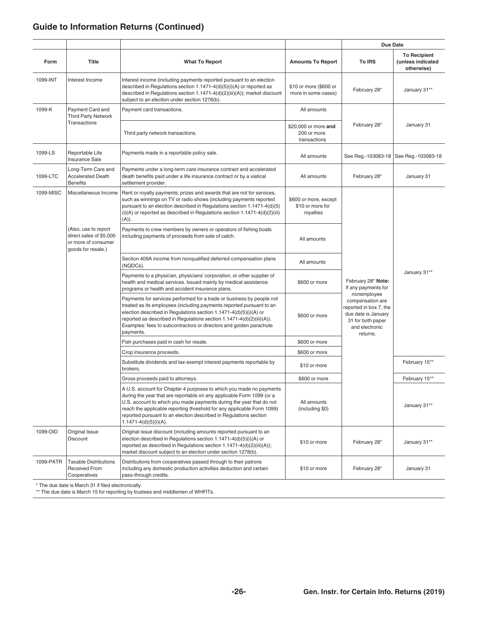### **Guide to Information Returns (Continued)**

| Form<br><b>Title</b><br><b>What To Report</b><br><b>Amounts To Report</b><br><b>To IRS</b><br>1099-INT<br>Interest income (including payments reported pursuant to an election<br>Interest Income<br>described in Regulations section 1.1471-4(d)(5)(i)(A) or reported as<br>\$10 or more (\$600 or<br>February 28*<br>described in Regulations section 1.1471-4(d)(2)(iii)(A)); market discount<br>more in some cases)<br>subject to an election under section 1278(b).<br>1099-K<br>Payment Card and<br>Payment card transactions.<br>All amounts<br><b>Third Party Network</b><br>Transactions<br>February 28*<br>\$20,000 or more and |                                                        |
|-------------------------------------------------------------------------------------------------------------------------------------------------------------------------------------------------------------------------------------------------------------------------------------------------------------------------------------------------------------------------------------------------------------------------------------------------------------------------------------------------------------------------------------------------------------------------------------------------------------------------------------------|--------------------------------------------------------|
|                                                                                                                                                                                                                                                                                                                                                                                                                                                                                                                                                                                                                                           | <b>To Recipient</b><br>(unless indicated<br>otherwise) |
|                                                                                                                                                                                                                                                                                                                                                                                                                                                                                                                                                                                                                                           | January 31**                                           |
|                                                                                                                                                                                                                                                                                                                                                                                                                                                                                                                                                                                                                                           |                                                        |
| 200 or more<br>Third party network transactions.<br>transactions                                                                                                                                                                                                                                                                                                                                                                                                                                                                                                                                                                          | January 31                                             |
| 1099-LS<br>Reportable Life<br>Payments made in a reportable policy sale.<br>See Reg.-103083-18   See Reg.-103083-18<br>All amounts<br>Insurance Sale                                                                                                                                                                                                                                                                                                                                                                                                                                                                                      |                                                        |
| Long-Term Care and<br>Payments under a long-term care insurance contract and accelerated<br>1099-LTC<br><b>Accelerated Death</b><br>death benefits paid under a life insurance contract or by a viatical<br>February 28*<br>All amounts<br><b>Benefits</b><br>settlement provider.                                                                                                                                                                                                                                                                                                                                                        | January 31                                             |
| 1099-MISC<br>Miscellaneous Income<br>Rent or royalty payments; prizes and awards that are not for services,<br>such as winnings on TV or radio shows (including payments reported<br>\$600 or more, except<br>pursuant to an election described in Regulations section 1.1471-4(d)(5)<br>\$10 or more for<br>$(i)(A)$ or reported as described in Regulations section 1.1471-4(d)(2)(iii)<br>royalties<br>(A)).                                                                                                                                                                                                                           |                                                        |
| (Also, use to report<br>Payments to crew members by owners or operators of fishing boats<br>direct sales of \$5,000<br>including payments of proceeds from sale of catch.<br>All amounts<br>or more of consumer<br>goods for resale.)                                                                                                                                                                                                                                                                                                                                                                                                     |                                                        |
| Section 409A income from nonqualified deferred compensation plans<br>All amounts<br>(NQDCs).                                                                                                                                                                                                                                                                                                                                                                                                                                                                                                                                              |                                                        |
| Payments to a physician, physicians' corporation, or other supplier of<br>February 28* Note:<br>health and medical services. Issued mainly by medical assistance<br>\$600 or more<br>If any payments for<br>programs or health and accident insurance plans.                                                                                                                                                                                                                                                                                                                                                                              | January 31**                                           |
| nonemployee<br>Payments for services performed for a trade or business by people not<br>compensation are<br>treated as its employees (including payments reported pursuant to an<br>reported in box 7, the<br>election described in Regulations section 1.1471-4(d)(5)(i)(A) or<br>due date is January<br>\$600 or more<br>reported as described in Regulations section 1.1471-4(d)(2)(iii)(A)).<br>31 for both paper<br>Examples: fees to subcontractors or directors and golden parachute<br>and electronic<br>payments.<br>returns.                                                                                                    |                                                        |
| Fish purchases paid in cash for resale.<br>\$600 or more                                                                                                                                                                                                                                                                                                                                                                                                                                                                                                                                                                                  |                                                        |
| Crop insurance proceeds.<br>\$600 or more                                                                                                                                                                                                                                                                                                                                                                                                                                                                                                                                                                                                 |                                                        |
| Substitute dividends and tax-exempt interest payments reportable by<br>\$10 or more<br>brokers.                                                                                                                                                                                                                                                                                                                                                                                                                                                                                                                                           | February 15**                                          |
| Gross proceeds paid to attorneys.<br>\$600 or more                                                                                                                                                                                                                                                                                                                                                                                                                                                                                                                                                                                        | February 15**                                          |
| A U.S. account for Chapter 4 purposes to which you made no payments<br>during the year that are reportable on any applicable Form 1099 (or a<br>U.S. account to which you made payments during the year that do not<br>All amounts<br>reach the applicable reporting threshold for any applicable Form 1099)<br>(including \$0)<br>reported pursuant to an election described in Regulations section<br>$1.1471-4(d)(5)(i)(A).$                                                                                                                                                                                                           | January 31**                                           |
| 1099-OID<br>Original Issue<br>Original issue discount (including amounts reported pursuant to an<br>election described in Regulations section 1.1471-4(d)(5)(i)(A) or<br>Discount<br>\$10 or more<br>February 28*<br>reported as described in Regulations section 1.1471-4(d)(2)(iii)(A));<br>market discount subject to an election under section 1278(b).                                                                                                                                                                                                                                                                               | January 31**                                           |
| 1099-PATR<br><b>Taxable Distributions</b><br>Distributions from cooperatives passed through to their patrons<br>Received From<br>including any domestic production activities deduction and certain<br>February 28*<br>\$10 or more<br>Cooperatives<br>pass-through credits.<br>* The due date is March 31 if filed electronically.                                                                                                                                                                                                                                                                                                       | January 31                                             |

\*\* The due date is March 15 for reporting by trustees and middlemen of WHFITs.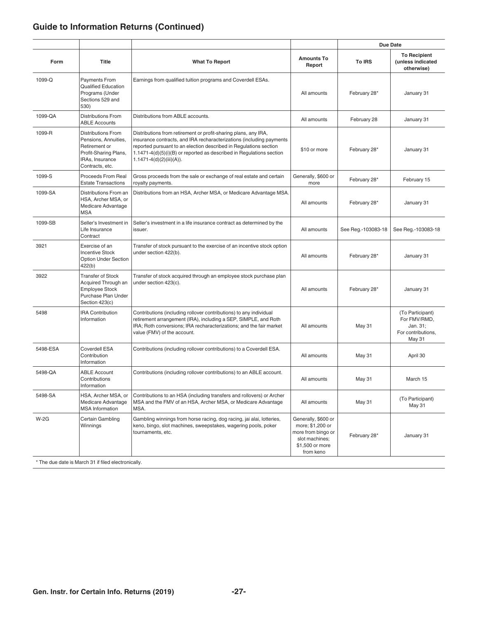### **Guide to Information Returns (Continued)**

|          |                                                                                                                                   |                                                                                                                                                                                                                                                                                                                  |                                                                                                                 | Due Date           |                                                                              |
|----------|-----------------------------------------------------------------------------------------------------------------------------------|------------------------------------------------------------------------------------------------------------------------------------------------------------------------------------------------------------------------------------------------------------------------------------------------------------------|-----------------------------------------------------------------------------------------------------------------|--------------------|------------------------------------------------------------------------------|
| Form     | <b>Title</b>                                                                                                                      | <b>What To Report</b>                                                                                                                                                                                                                                                                                            | <b>Amounts To</b><br>Report                                                                                     | To IRS             | <b>To Recipient</b><br>(unless indicated<br>otherwise)                       |
| 1099-Q   | <b>Payments From</b><br><b>Qualified Education</b><br>Programs (Under<br>Sections 529 and<br>530)                                 | Earnings from qualified tuition programs and Coverdell ESAs.                                                                                                                                                                                                                                                     | All amounts                                                                                                     | February 28*       | January 31                                                                   |
| 1099-QA  | <b>Distributions From</b><br><b>ABLE Accounts</b>                                                                                 | Distributions from ABLE accounts.                                                                                                                                                                                                                                                                                | All amounts                                                                                                     | February 28        | January 31                                                                   |
| 1099-R   | <b>Distributions From</b><br>Pensions, Annuities,<br>Retirement or<br>Profit-Sharing Plans,<br>IRAs, Insurance<br>Contracts, etc. | Distributions from retirement or profit-sharing plans, any IRA,<br>insurance contracts, and IRA recharacterizations (including payments<br>reported pursuant to an election described in Regulations section<br>1.1471-4(d)(5)(i)(B) or reported as described in Regulations section<br>1.1471-4(d)(2)(iii)(A)). | \$10 or more                                                                                                    | February 28*       | January 31                                                                   |
| 1099-S   | <b>Proceeds From Real</b><br><b>Estate Transactions</b>                                                                           | Gross proceeds from the sale or exchange of real estate and certain<br>royalty payments.                                                                                                                                                                                                                         | Generally, \$600 or<br>more                                                                                     | February 28*       | February 15                                                                  |
| 1099-SA  | Distributions From an<br>HSA, Archer MSA, or<br>Medicare Advantage<br><b>MSA</b>                                                  | Distributions from an HSA, Archer MSA, or Medicare Advantage MSA.                                                                                                                                                                                                                                                | All amounts                                                                                                     | February 28*       | January 31                                                                   |
| 1099-SB  | Seller's Investment in<br>Life Insurance<br>Contract                                                                              | Seller's investment in a life insurance contract as determined by the<br>issuer.                                                                                                                                                                                                                                 | All amounts                                                                                                     | See Reg.-103083-18 | See Reg.-103083-18                                                           |
| 3921     | Exercise of an<br><b>Incentive Stock</b><br><b>Option Under Section</b><br>422(b)                                                 | Transfer of stock pursuant to the exercise of an incentive stock option<br>under section 422(b).                                                                                                                                                                                                                 | All amounts                                                                                                     | February 28*       | January 31                                                                   |
| 3922     | <b>Transfer of Stock</b><br>Acquired Through an<br><b>Employee Stock</b><br>Purchase Plan Under<br>Section 423(c)                 | Transfer of stock acquired through an employee stock purchase plan<br>under section 423(c).                                                                                                                                                                                                                      | All amounts                                                                                                     | February 28*       | January 31                                                                   |
| 5498     | <b>IRA Contribution</b><br>Information                                                                                            | Contributions (including rollover contributions) to any individual<br>retirement arrangement (IRA), including a SEP, SIMPLE, and Roth<br>IRA; Roth conversions; IRA recharacterizations; and the fair market<br>value (FMV) of the account.                                                                      | All amounts                                                                                                     | <b>May 31</b>      | (To Participant)<br>For FMV/RMD,<br>Jan. 31;<br>For contributions,<br>May 31 |
| 5498-ESA | <b>Coverdell ESA</b><br>Contribution<br>Information                                                                               | Contributions (including rollover contributions) to a Coverdell ESA.                                                                                                                                                                                                                                             | All amounts                                                                                                     | <b>May 31</b>      | April 30                                                                     |
| 5498-QA  | <b>ABLE Account</b><br>Contributions<br>Information                                                                               | Contributions (including rollover contributions) to an ABLE account.                                                                                                                                                                                                                                             | All amounts                                                                                                     | <b>May 31</b>      | March 15                                                                     |
| 5498-SA  | HSA, Archer MSA, or<br>Medicare Advantage<br><b>MSA</b> Information                                                               | Contributions to an HSA (including transfers and rollovers) or Archer<br>MSA and the FMV of an HSA, Archer MSA, or Medicare Advantage<br>MSA.                                                                                                                                                                    | All amounts                                                                                                     | <b>May 31</b>      | (To Participant)<br><b>May 31</b>                                            |
| $W-2G$   | Certain Gambling<br>Winnings                                                                                                      | Gambling winnings from horse racing, dog racing, jai alai, lotteries,<br>keno, bingo, slot machines, sweepstakes, wagering pools, poker<br>tournaments, etc.                                                                                                                                                     | Generally, \$600 or<br>more; \$1,200 or<br>more from bingo or<br>slot machines;<br>\$1,500 or more<br>from keno | February 28*       | January 31                                                                   |

\* The due date is March 31 if filed electronically.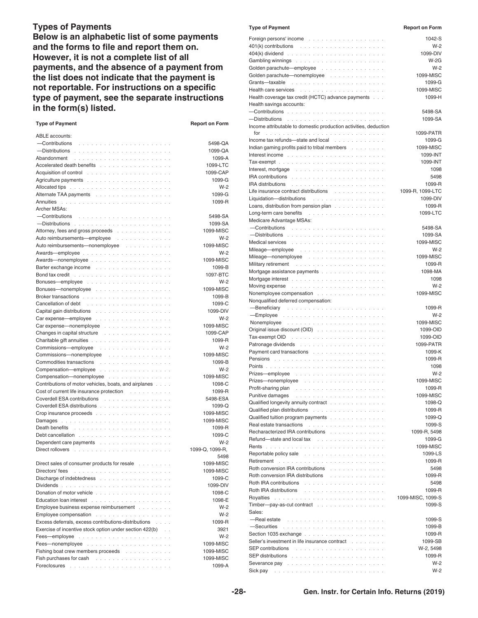#### **Types of Payments**

**Below is an alphabetic list of some payments and the forms to file and report them on. However, it is not a complete list of all payments, and the absence of a payment from the list does not indicate that the payment is not reportable. For instructions on a specific type of payment, see the separate instructions in the form(s) listed.**

| <b>Type of Payment</b>                                                                                                                                                                                                        | <b>Report on Form</b> |
|-------------------------------------------------------------------------------------------------------------------------------------------------------------------------------------------------------------------------------|-----------------------|
| <b>ABLE</b> accounts:                                                                                                                                                                                                         |                       |
| -Contributions                                                                                                                                                                                                                | 5498-QA               |
|                                                                                                                                                                                                                               | 1099-QA               |
| Abandonment                                                                                                                                                                                                                   | 1099-A                |
| Accelerated death benefits                                                                                                                                                                                                    | 1099-LTC              |
| Acquisition of control enterstanding to the set of the set of the set of the set of the set of the set of the                                                                                                                 | 1099-CAP              |
|                                                                                                                                                                                                                               | 1099-G                |
| Allocated tips with a subset of the subset of the subset of the subset of the subset of the subset of the subset                                                                                                              | $W-2$                 |
|                                                                                                                                                                                                                               | 1099-G                |
| Annuities                                                                                                                                                                                                                     | 1099-R                |
| Archer MSAs:<br>-Contributions                                                                                                                                                                                                | 5498-SA               |
|                                                                                                                                                                                                                               | 1099-SA               |
| Attorney, fees and gross proceeds                                                                                                                                                                                             | 1099-MISC             |
| Auto reimbursements-employee<br>and a strainer<br>$\mathcal{L}_{\mathcal{A}}$                                                                                                                                                 | $W-2$                 |
| Auto reimbursements-nonemployee<br>and a straight and a straight                                                                                                                                                              | 1099-MISC             |
| Awards—employee<br>$\overline{a}$<br>$\overline{a}$<br>$\sim$<br>$\overline{a}$                                                                                                                                               | $W-2$                 |
|                                                                                                                                                                                                                               | 1099-MISC             |
| Barter exchange income<br>$\ddot{\phantom{a}}$<br>$\overline{\phantom{a}}$<br>and a strain                                                                                                                                    | 1099-B                |
| Bond tax credit enterprise and a series of the series of the series of the series of the series of the series of the series of the series of the series of the series of the series of the series of the series of the series | 1097-BTC              |
|                                                                                                                                                                                                                               | $W-2$                 |
| Bonuses—nonemployee                                                                                                                                                                                                           | 1099-MISC             |
|                                                                                                                                                                                                                               | 1099-B                |
|                                                                                                                                                                                                                               | 1099-C                |
|                                                                                                                                                                                                                               | 1099-DIV              |
| Carexpense—employee                                                                                                                                                                                                           | $W-2$                 |
| Car expense—nonemployee<br><b>Service</b>                                                                                                                                                                                     | 1099-MISC             |
| Changes in capital structure<br>$\alpha$ , $\alpha$ , $\alpha$<br>and a series and                                                                                                                                            | 1099-CAP              |
|                                                                                                                                                                                                                               | 1099-R                |
| Commissions-employee<br>.                                                                                                                                                                                                     | $W-2$                 |
| Commissions-nonemployee<br>in a shekarar a shekarar a shekara                                                                                                                                                                 | 1099-MISC             |
| Commodities transactions                                                                                                                                                                                                      | 1099-B                |
| Compensation-employee                                                                                                                                                                                                         | $W-2$                 |
| Compensation-nonemployee                                                                                                                                                                                                      | 1099-MISC<br>1098-C   |
| Contributions of motor vehicles, boats, and airplanes<br>and and<br>Cost of current life insurance protection                                                                                                                 | 1099-R                |
| Coverdell ESA contributions                                                                                                                                                                                                   | 5498-ESA              |
| Coverdell ESA distributions                                                                                                                                                                                                   | $1099 - Q$            |
|                                                                                                                                                                                                                               | 1099-MISC             |
|                                                                                                                                                                                                                               | 1099-MISC             |
| Death benefits                                                                                                                                                                                                                | 1099-R                |
|                                                                                                                                                                                                                               | 1099-C                |
| Dependent care payments                                                                                                                                                                                                       | $W-2$                 |
| Direct rollovers                                                                                                                                                                                                              | 1099-Q. 1099-R.       |
|                                                                                                                                                                                                                               | 5498                  |
| Direct sales of consumer products for resale                                                                                                                                                                                  | 1099-MISC             |
| Directors' fees in the contract of the contract of the Directors' fees                                                                                                                                                        | 1099-MISC             |
| Discharge of indebtedness                                                                                                                                                                                                     | 1099-C                |
|                                                                                                                                                                                                                               | 1099-DIV              |
|                                                                                                                                                                                                                               | 1098-C                |
|                                                                                                                                                                                                                               | 1098-E                |
| Employee business expense reimbursement                                                                                                                                                                                       | $W-2$<br>$W-2$        |
|                                                                                                                                                                                                                               | 1099-R                |
| Excess deferrals, excess contributions-distributions<br>Exercise of incentive stock option under section 422(b)                                                                                                               | 3921                  |
|                                                                                                                                                                                                                               | $W-2$                 |
|                                                                                                                                                                                                                               | 1099-MISC             |
| Fishing boat crew members proceeds                                                                                                                                                                                            | 1099-MISC             |
| Fish purchases for cash response to the contract of the set of the set of the set of the set of the set of the                                                                                                                | 1099-MISC             |
|                                                                                                                                                                                                                               | 1099-A                |
|                                                                                                                                                                                                                               |                       |

| <b>Type of Payment</b>                                                                                                                                                                                                         | <b>Report on Form</b>       |
|--------------------------------------------------------------------------------------------------------------------------------------------------------------------------------------------------------------------------------|-----------------------------|
|                                                                                                                                                                                                                                | 1042-S                      |
| $401(k)$ contributions $\ldots \ldots \ldots \ldots \ldots \ldots \ldots$                                                                                                                                                      | $W-2$                       |
| $404(k)$ dividend $\ldots \ldots \ldots \ldots \ldots \ldots \ldots \ldots$                                                                                                                                                    | 1099-DIV                    |
|                                                                                                                                                                                                                                | $W-2G$                      |
| Golden parachute-employee                                                                                                                                                                                                      | $W-2$                       |
| Golden parachute-nonemployee                                                                                                                                                                                                   | 1099-MISC                   |
|                                                                                                                                                                                                                                | 1099-G<br>1099-MISC         |
| Health coverage tax credit (HCTC) advance payments                                                                                                                                                                             | 1099-H                      |
| Health savings accounts:                                                                                                                                                                                                       |                             |
|                                                                                                                                                                                                                                | 5498-SA                     |
|                                                                                                                                                                                                                                | 1099-SA                     |
| Income attributable to domestic production activities, deduction                                                                                                                                                               |                             |
| for                                                                                                                                                                                                                            | 1099-PATR                   |
| Income tax refunds-state and local                                                                                                                                                                                             | 1099-G                      |
| Indian gaming profits paid to tribal members                                                                                                                                                                                   | 1099-MISC                   |
| Interest income the state of the state of the state of the state of the state of the state of the state of the                                                                                                                 | 1099-INT<br>1099-INT        |
| Interest, mortgage $\ldots \ldots \ldots \ldots \ldots \ldots \ldots$                                                                                                                                                          | 1098                        |
| IRA contributions $\cdots$ , $\cdots$ , $\cdots$ , $\cdots$                                                                                                                                                                    | 5498                        |
| IRA distributions the contract of the contract of the contract of the contract of the contract of the contract of the contract of the contract of the contract of the contract of the contract of the contract of the contract | 1099-R                      |
| Life insurance contract distributions                                                                                                                                                                                          | 1099-R, 1099-LTC            |
| Liquidation-distributions                                                                                                                                                                                                      | 1099-DIV                    |
| Loans, distribution from pension plan                                                                                                                                                                                          | 1099-R                      |
|                                                                                                                                                                                                                                | 1099-LTC                    |
| Medicare Advantage MSAs:                                                                                                                                                                                                       |                             |
|                                                                                                                                                                                                                                | 5498-SA                     |
|                                                                                                                                                                                                                                | 1099-SA<br>1099-MISC        |
|                                                                                                                                                                                                                                | $W-2$                       |
| Mileage—nonemployee                                                                                                                                                                                                            | 1099-MISC                   |
| Military retirement<br>the contract of the contract of the contract of the                                                                                                                                                     | 1099-R                      |
| Mortgage assistance payments                                                                                                                                                                                                   | 1098-MA                     |
|                                                                                                                                                                                                                                | 1098                        |
| Moving expense research and contact and a series of the Moving expense research and a series of the Moving expense of the Moving expense of the Moving expense of the Moving expense of the Moving expenditure of the Moving e | $W-2$                       |
| Nonemployee compensation                                                                                                                                                                                                       | 1099-MISC                   |
| Nonqualified deferred compensation:                                                                                                                                                                                            | 1099-R                      |
|                                                                                                                                                                                                                                | $W-2$                       |
|                                                                                                                                                                                                                                | 1099-MISC                   |
| Original issue discount (OID)                                                                                                                                                                                                  | 1099-OID                    |
|                                                                                                                                                                                                                                | 1099-OID                    |
|                                                                                                                                                                                                                                | 1099-PATR                   |
| Payment card transactions                                                                                                                                                                                                      | 1099-K<br>1099-R            |
|                                                                                                                                                                                                                                | 1098                        |
| Prizes—employee                                                                                                                                                                                                                | $W-2$                       |
|                                                                                                                                                                                                                                | 1099-MISC                   |
|                                                                                                                                                                                                                                | 1099-R                      |
|                                                                                                                                                                                                                                | 1099-MISC                   |
| Qualified longevity annuity contract                                                                                                                                                                                           | 1098-Q                      |
| Qualified plan distributions                                                                                                                                                                                                   | 1099-R                      |
| Qualified tuition program payments                                                                                                                                                                                             | 1099-Q<br>1099-S            |
| Recharacterized IRA contributions                                                                                                                                                                                              | 1099-R. 5498                |
| Refund-state and local tax reflex reflection of the state of the state of the state of the state of the state of the state of the state of the state of the state of the state of the state of the state of the state of the s | 1099-G                      |
|                                                                                                                                                                                                                                | 1099-MISC                   |
| Reportable policy sale response to the contract of the contract of the contract of the contract of the contract of the contract of the contract of the contract of the contract of the contract of the contract of the contrac | 1099-LS                     |
| Retirement and a substitution of the substantial contract of the substantial contract of the substantial contract of                                                                                                           | 1099-R                      |
| Roth conversion IRA contributions                                                                                                                                                                                              | 5498                        |
| Roth conversion IRA distributions                                                                                                                                                                                              | 1099-R                      |
| Roth IRA contributions with a state of the state of the state of the state of the state of the state of the state of the state of the state of the state of the state of the state of the state of the state of the state of t | 5498                        |
| Roth IRA distributions the contract of the contract of the contract of the contract of the contract of the contract of the contract of the contract of the contract of the contract of the contract of the contract of the con | 1099-R<br>1099-MISC, 1099-S |
| Timber-pay-as-cut contract                                                                                                                                                                                                     | 1099-S                      |
| Sales:                                                                                                                                                                                                                         |                             |
| -Real estate response to the contract of the state of the state of the state of the state of the state of the                                                                                                                  | 1099-S                      |
|                                                                                                                                                                                                                                | 1099-B                      |
|                                                                                                                                                                                                                                | 1099-R                      |
| Seller's investment in life insurance contract                                                                                                                                                                                 | 1099-SB                     |
|                                                                                                                                                                                                                                | W-2, 5498<br>1099-R         |
| Severance pay reconstruction and a series of the second second series of the second second series of the series of the series of the series of the series of the series of the series of the series of the series of the serie | $W-2$                       |
|                                                                                                                                                                                                                                | $W-2$                       |
|                                                                                                                                                                                                                                |                             |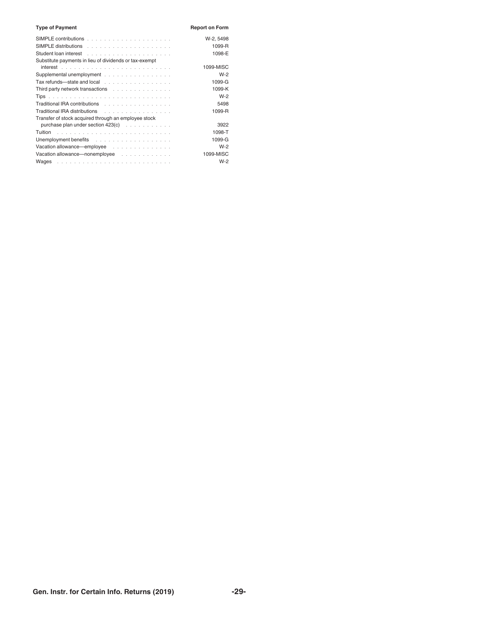| <b>Type of Payment</b>                                 | <b>Report on Form</b> |
|--------------------------------------------------------|-----------------------|
|                                                        | W-2, 5498             |
|                                                        | 1099-R                |
|                                                        | 1098-E                |
| Substitute payments in lieu of dividends or tax-exempt |                       |
|                                                        | 1099-MISC             |
| Supplemental unemployment                              | $W-2$                 |
| Tax refunds-state and local                            | 1099-G                |
| Third party network transactions                       | 1099-K                |
|                                                        | $W-2$                 |
| Traditional IRA contributions                          | 5498                  |
| Traditional IRA distributions                          | 1099-R                |
| Transfer of stock acquired through an employee stock   |                       |
| purchase plan under section 423(c)                     | 3922                  |
|                                                        | 1098-T                |
|                                                        | 1099-G                |
| Vacation allowance—employee                            | $W-2$                 |
| Vacation allowance-nonemployee                         | 1099-MISC             |
|                                                        | $W-2$                 |